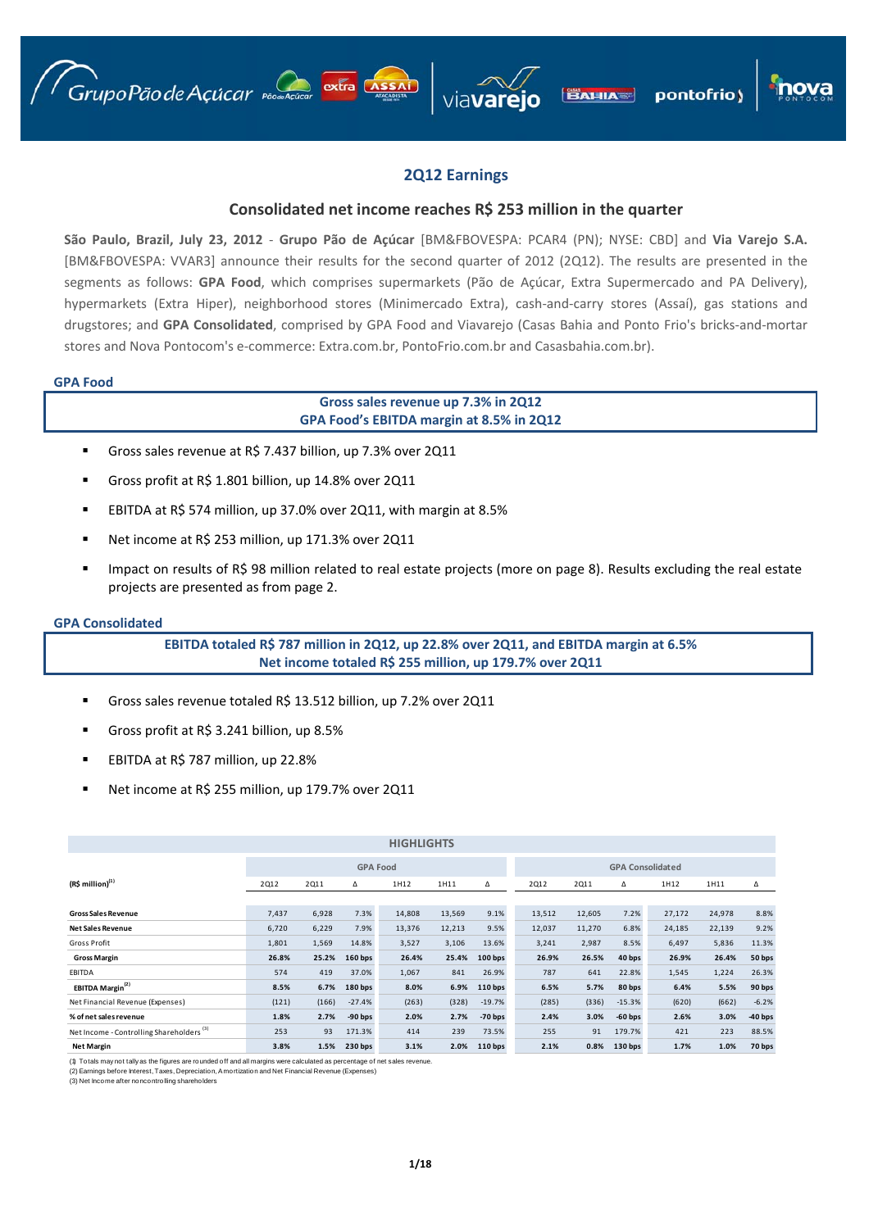





# **2Q12 Earnings**

# **Consolidated net income reaches R\$ 253 million in the quarter**

**São Paulo, Brazil, July 23, 2012** ‐ **Grupo Pão de Açúcar** [BM&FBOVESPA: PCAR4 (PN); NYSE: CBD] and **Via Varejo S.A.** [BM&FBOVESPA: VVAR3] announce their results for the second quarter of 2012 (2Q12). The results are presented in the segments as follows: **GPA Food**, which comprises supermarkets (Pão de Açúcar, Extra Supermercado and PA Delivery), hypermarkets (Extra Hiper), neighborhood stores (Minimercado Extra), cash-and-carry stores (Assaí), gas stations and drugstores; and **GPA Consolidated**, comprised by GPA Food and Viavarejo (Casas Bahia and Ponto Frio's bricks‐and‐mortar stores and Nova Pontocom's e-commerce: Extra.com.br, PontoFrio.com.br and Casasbahia.com.br).

## **GPA Food**

# **Gross sales revenue up 7.3% in 2Q12 GPA Food's EBITDA margin at 8.5% in 2Q12**

- Gross sales revenue at R\$ 7.437 billion, up 7.3% over 2Q11
- Gross profit at R\$ 1.801 billion, up 14.8% over 2Q11
- EBITDA at R\$ 574 million, up 37.0% over 2Q11, with margin at 8.5%
- Net income at R\$ 253 million, up 171.3% over 2Q11
- Impact on results of R\$ 98 million related to real estate projects (more on page 8). Results excluding the real estate projects are presented as from page 2.

#### **GPA Consolidated**

**EBITDA totaled R\$ 787 million in 2Q12, up 22.8% over 2Q11, and EBITDA margin at 6.5% Net income totaled R\$ 255 million, up 179.7% over 2Q11**

- Gross sales revenue totaled R\$ 13.512 billion, up 7.2% over 2Q11
- Gross profit at R\$ 3.241 billion, up 8.5%
- EBITDA at R\$ 787 million, up 22.8%
- Net income at R\$ 255 million, up 179.7% over 2Q11

|                                                      |                 |       |                | <b>HIGHLIGHTS</b> |        |                    |        |        |                         |        |        |           |
|------------------------------------------------------|-----------------|-------|----------------|-------------------|--------|--------------------|--------|--------|-------------------------|--------|--------|-----------|
|                                                      | <b>GPA Food</b> |       |                |                   |        |                    |        |        | <b>GPA Consolidated</b> |        |        |           |
| $(R$$ million $)^{(1)}$                              | <b>2Q12</b>     | 2011  | Δ              | 1H12              | 1H11   | Δ                  | 2012   | 2011   | Δ                       | 1H12   | 1H11   | Δ         |
|                                                      |                 |       |                |                   |        |                    |        |        |                         |        |        |           |
| <b>Gross Sales Revenue</b>                           | 7,437           | 6,928 | 7.3%           | 14,808            | 13,569 | 9.1%               | 13,512 | 12,605 | 7.2%                    | 27,172 | 24,978 | 8.8%      |
| <b>Net Sales Revenue</b>                             | 6,720           | 6,229 | 7.9%           | 13,376            | 12,213 | 9.5%               | 12,037 | 11,270 | 6.8%                    | 24,185 | 22,139 | 9.2%      |
| Gross Profit                                         | 1,801           | 1,569 | 14.8%          | 3,527             | 3,106  | 13.6%              | 3,241  | 2,987  | 8.5%                    | 6,497  | 5,836  | 11.3%     |
| <b>Gross Margin</b>                                  | 26.8%           | 25.2% | <b>160 bps</b> | 26.4%             | 25.4%  | $100$ bps          | 26.9%  | 26.5%  | 40 bps                  | 26.9%  | 26.4%  | 50 bps    |
| EBITDA                                               | 574             | 419   | 37.0%          | 1,067             | 841    | 26.9%              | 787    | 641    | 22.8%                   | 1,545  | 1,224  | 26.3%     |
| EBITDA Margin <sup>(2)</sup>                         | 8.5%            | 6.7%  | $180$ bps      | 8.0%              | 6.9%   | 110 <sub>bps</sub> | 6.5%   | 5.7%   | 80 bps                  | 6.4%   | 5.5%   | 90 bps    |
| Net Financial Revenue (Expenses)                     | (121)           | (166) | $-27.4%$       | (263)             | (328)  | $-19.7%$           | (285)  | (336)  | $-15.3%$                | (620)  | (662)  | $-6.2%$   |
| % of net sales revenue                               | 1.8%            | 2.7%  | $-90$ bps      | 2.0%              | 2.7%   | $-70$ bps          | 2.4%   | 3.0%   | $-60$ bps               | 2.6%   | 3.0%   | $-40$ bps |
| Net Income - Controlling Shareholders <sup>(3)</sup> | 253             | 93    | 171.3%         | 414               | 239    | 73.5%              | 255    | 91     | 179.7%                  | 421    | 223    | 88.5%     |
| <b>Net Margin</b>                                    | 3.8%            | 1.5%  | 230 bps        | 3.1%              | 2.0%   | $110$ bps          | 2.1%   | 0.8%   | 130 bps                 | 1.7%   | 1.0%   | 70 bps    |

(1) Totals may not tally as the figures are rounded off and all margins were calculated as percentage of net sales revenue. (2) Earnings before Interest, Taxes, Depreciation, Amortization and Net Financial Revenue (Expenses)

(3) Net Income after noncontrolling shareholders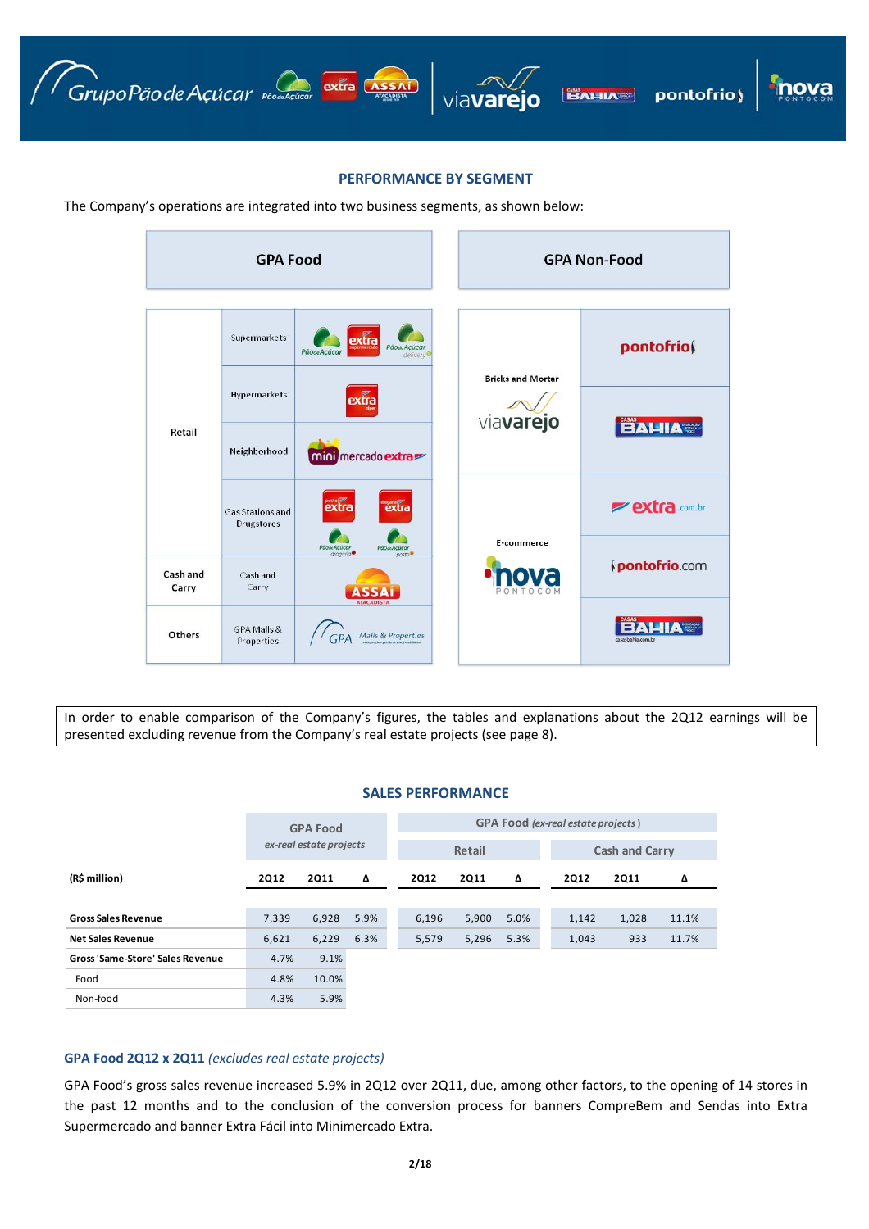

## **PERFORMANCE BY SEGMENT**

The Company's operations are integrated into two business segments, as shown below:

|                   | <b>GPA Food</b>                              |                                                                       |                          | <b>GPA Non-Food</b>   |
|-------------------|----------------------------------------------|-----------------------------------------------------------------------|--------------------------|-----------------------|
|                   | Supermarkets                                 | extra<br>Pãode Acúcar<br><b>Pãode Acúcar</b><br>delivery <sup>®</sup> |                          | pontofriof            |
|                   | <b>Hypermarkets</b>                          | extra                                                                 | <b>Bricks and Mortar</b> |                       |
| Retail            | Neighborhood                                 | mini mercado extra                                                    | viavarejo                | <b>BAHIA</b>          |
|                   | <b>Gas Stations and</b><br><b>Drugstores</b> | posto<br>extra                                                        | E-commerce               | <b>Pextra</b> .com.br |
| Cash and<br>Carry | Cash and<br>Carry                            | PãoseAcúcar<br>drogario<br>Pãose Acúcar<br>$0$ osto $\bullet$         |                          | pontofrio.com         |
| Others            | GPA Malls &<br>Properties                    | <b>ATACADISTA</b><br><b>Malls &amp; Properties</b>                    |                          | casasbahia.com.br     |

In order to enable comparison of the Company's figures, the tables and explanations about the 2Q12 earnings will be presented excluding revenue from the Company's real estate projects (see page 8).

# **SALES PERFORMANCE**

|                                  |             | <b>GPA Food</b>         |      | <b>GPA Food</b> (ex-real estate projects) |             |             |      |                       |  |             |       |  |
|----------------------------------|-------------|-------------------------|------|-------------------------------------------|-------------|-------------|------|-----------------------|--|-------------|-------|--|
|                                  |             | ex-real estate projects |      |                                           |             | Retail      |      | <b>Cash and Carry</b> |  |             |       |  |
| (R\$ million)                    | <b>2Q12</b> | <b>2Q11</b>             | Δ    |                                           | <b>2Q12</b> | <b>2Q11</b> | Δ    | <b>2Q12</b>           |  | <b>2Q11</b> | Δ     |  |
|                                  |             |                         |      |                                           |             |             |      |                       |  |             |       |  |
| <b>Gross Sales Revenue</b>       | 7,339       | 6,928                   | 5.9% |                                           | 6,196       | 5,900       | 5.0% | 1,142                 |  | 1,028       | 11.1% |  |
| <b>Net Sales Revenue</b>         | 6,621       | 6,229                   | 6.3% |                                           | 5,579       | 5,296       | 5.3% | 1,043                 |  | 933         | 11.7% |  |
| Gross 'Same-Store' Sales Revenue | 4.7%        | 9.1%                    |      |                                           |             |             |      |                       |  |             |       |  |
| Food                             | 4.8%        | 10.0%                   |      |                                           |             |             |      |                       |  |             |       |  |
| Non-food                         | 4.3%        | 5.9%                    |      |                                           |             |             |      |                       |  |             |       |  |

# **GPA Food 2Q12 x 2Q11** *(excludes real estate projects)*

GPA Food's gross sales revenue increased 5.9% in 2Q12 over 2Q11, due, among other factors, to the opening of 14 stores in the past 12 months and to the conclusion of the conversion process for banners CompreBem and Sendas into Extra Supermercado and banner Extra Fácil into Minimercado Extra.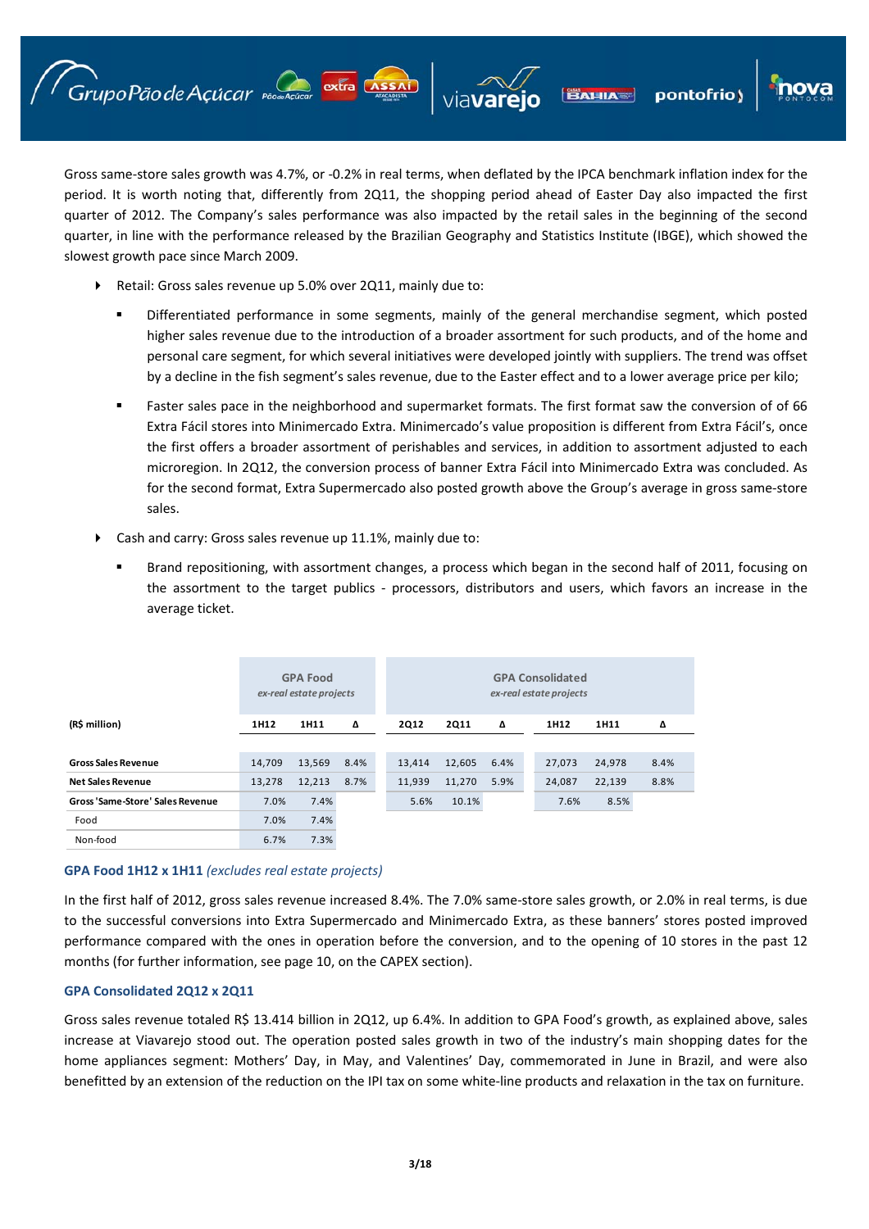pontofrio)

Gross same‐store sales growth was 4.7%, or ‐0.2% in real terms, when deflated by the IPCA benchmark inflation index for the period. It is worth noting that, differently from 2Q11, the shopping period ahead of Easter Day also impacted the first quarter of 2012. The Company's sales performance was also impacted by the retail sales in the beginning of the second quarter, in line with the performance released by the Brazilian Geography and Statistics Institute (IBGE), which showed the slowest growth pace since March 2009.

Retail: Gross sales revenue up 5.0% over 2Q11, mainly due to:

Grupo Pão de Açúcar production extra Assai

- Differentiated performance in some segments, mainly of the general merchandise segment, which posted higher sales revenue due to the introduction of a broader assortment for such products, and of the home and personal care segment, for which several initiatives were developed jointly with suppliers. The trend was offset by a decline in the fish segment's sales revenue, due to the Easter effect and to a lower average price per kilo;
- Faster sales pace in the neighborhood and supermarket formats. The first format saw the conversion of of 66 Extra Fácil stores into Minimercado Extra. Minimercado's value proposition is different from Extra Fácil's, once the first offers a broader assortment of perishables and services, in addition to assortment adjusted to each microregion. In 2Q12, the conversion process of banner Extra Fácil into Minimercado Extra was concluded. As for the second format, Extra Supermercado also posted growth above the Group's average in gross same‐store sales.
- Cash and carry: Gross sales revenue up 11.1%, mainly due to:
	- Brand repositioning, with assortment changes, a process which began in the second half of 2011, focusing on the assortment to the target publics - processors, distributors and users, which favors an increase in the average ticket.

|                                  |        | <b>GPA Food</b><br>ex-real estate projects |      |             |             |      | <b>GPA Consolidated</b><br>ex-real estate projects |        |      |  |
|----------------------------------|--------|--------------------------------------------|------|-------------|-------------|------|----------------------------------------------------|--------|------|--|
| (R\$ million)                    | 1H12   | 1H11                                       | Δ    | <b>2Q12</b> | <b>2Q11</b> | Δ    | 1H12                                               | 1H11   | Δ    |  |
|                                  |        |                                            |      |             |             |      |                                                    |        |      |  |
| <b>Gross Sales Revenue</b>       | 14.709 | 13,569                                     | 8.4% | 13,414      | 12,605      | 6.4% | 27,073                                             | 24,978 | 8.4% |  |
| <b>Net Sales Revenue</b>         | 13,278 | 12,213                                     | 8.7% | 11,939      | 11,270      | 5.9% | 24,087                                             | 22,139 | 8.8% |  |
| Gross 'Same-Store' Sales Revenue | 7.0%   | 7.4%                                       |      | 5.6%        | 10.1%       |      | 7.6%                                               | 8.5%   |      |  |
| Food                             | 7.0%   | 7.4%                                       |      |             |             |      |                                                    |        |      |  |
| Non-food                         | 6.7%   | 7.3%                                       |      |             |             |      |                                                    |        |      |  |

# **GPA Food 1H12 x 1H11** *(excludes real estate projects)*

In the first half of 2012, gross sales revenue increased 8.4%. The 7.0% same-store sales growth, or 2.0% in real terms, is due to the successful conversions into Extra Supermercado and Minimercado Extra, as these banners' stores posted improved performance compared with the ones in operation before the conversion, and to the opening of 10 stores in the past 12 months (for further information, see page 10, on the CAPEX section).

# **GPA Consolidated 2Q12 x 2Q11**

Gross sales revenue totaled R\$ 13.414 billion in 2Q12, up 6.4%. In addition to GPA Food's growth, as explained above, sales increase at Viavarejo stood out. The operation posted sales growth in two of the industry's main shopping dates for the home appliances segment: Mothers' Day, in May, and Valentines' Day, commemorated in June in Brazil, and were also benefitted by an extension of the reduction on the IPI tax on some white-line products and relaxation in the tax on furniture.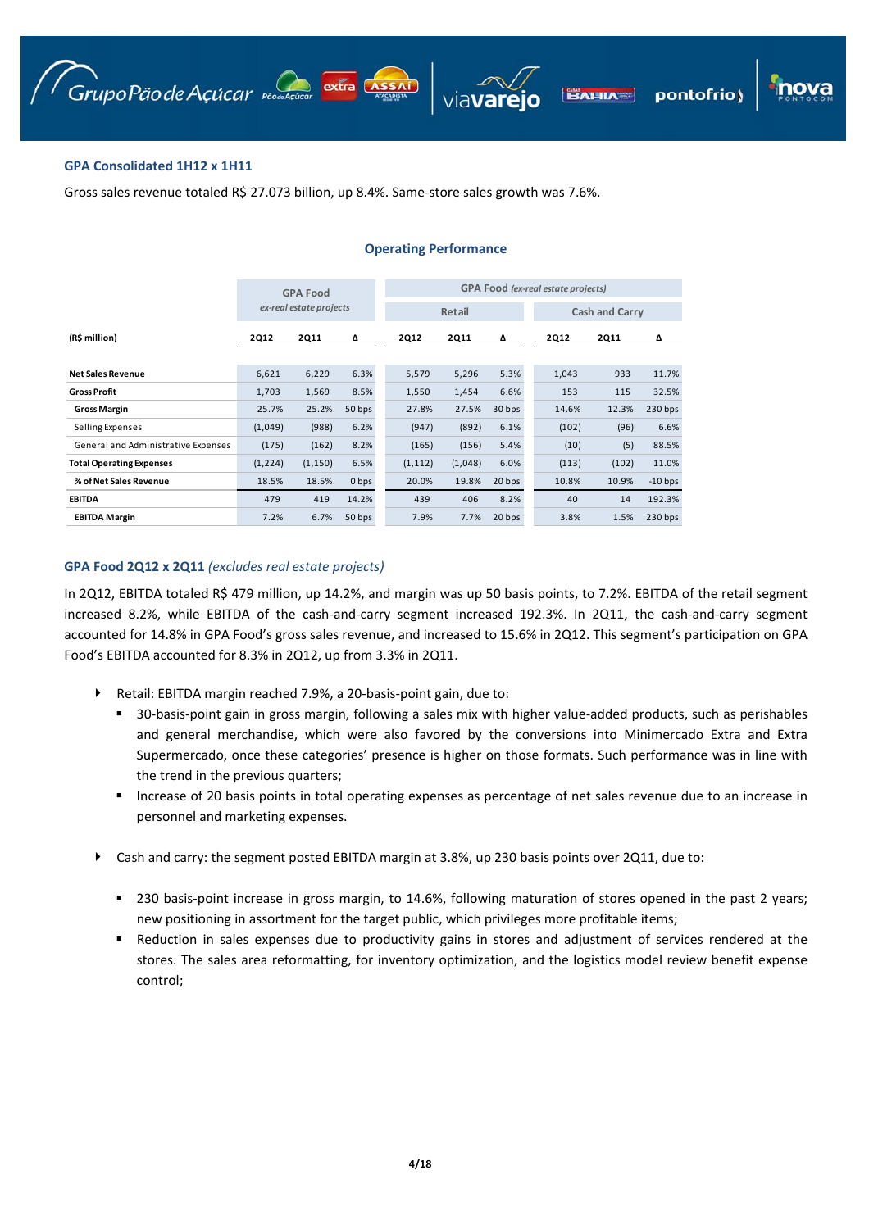

# **GPA Consolidated 1H12 x 1H11**

Gross sales revenue totaled R\$ 27.073 billion, up 8.4%. Same-store sales growth was 7.6%.

|                                     |             | <b>GPA Food</b>         |        | <b>GPA Food (ex-real estate projects)</b> |             |        |             |                       |           |  |  |  |
|-------------------------------------|-------------|-------------------------|--------|-------------------------------------------|-------------|--------|-------------|-----------------------|-----------|--|--|--|
|                                     |             | ex-real estate projects |        |                                           | Retail      |        |             | <b>Cash and Carry</b> |           |  |  |  |
| (R\$ million)                       | <b>2Q12</b> | <b>2Q11</b>             | Δ      | <b>2Q12</b>                               | <b>2Q11</b> | Δ      | <b>2Q12</b> | <b>2Q11</b>           | Δ         |  |  |  |
|                                     |             |                         |        |                                           |             |        |             |                       |           |  |  |  |
| <b>Net Sales Revenue</b>            | 6,621       | 6,229                   | 6.3%   | 5,579                                     | 5,296       | 5.3%   | 1,043       | 933                   | 11.7%     |  |  |  |
| <b>Gross Profit</b>                 | 1,703       | 1,569                   | 8.5%   | 1,550                                     | 1,454       | 6.6%   | 153         | 115                   | 32.5%     |  |  |  |
| <b>Gross Margin</b>                 | 25.7%       | 25.2%                   | 50 bps | 27.8%                                     | 27.5%       | 30 bps | 14.6%       | 12.3%                 | $230$ bps |  |  |  |
| Selling Expenses                    | (1,049)     | (988)                   | 6.2%   | (947)                                     | (892)       | 6.1%   | (102)       | (96)                  | 6.6%      |  |  |  |
| General and Administrative Expenses | (175)       | (162)                   | 8.2%   | (165)                                     | (156)       | 5.4%   | (10)        | (5)                   | 88.5%     |  |  |  |
| <b>Total Operating Expenses</b>     | (1, 224)    | (1, 150)                | 6.5%   | (1, 112)                                  | (1,048)     | 6.0%   | (113)       | (102)                 | 11.0%     |  |  |  |
| % of Net Sales Revenue              | 18.5%       | 18.5%                   | 0 bps  | 20.0%                                     | 19.8%       | 20 bps | 10.8%       | 10.9%                 | $-10$ bps |  |  |  |
| <b>EBITDA</b>                       | 479         | 419                     | 14.2%  | 439                                       | 406         | 8.2%   | 40          | 14                    | 192.3%    |  |  |  |
| <b>EBITDA Margin</b>                | 7.2%        | 6.7%                    | 50 bps | 7.9%                                      | 7.7%        | 20 bps | 3.8%        | 1.5%                  | 230 bps   |  |  |  |

## **Operating Performance**

# **GPA Food 2Q12 x 2Q11** *(excludes real estate projects)*

In 2Q12, EBITDA totaled R\$ 479 million, up 14.2%, and margin was up 50 basis points, to 7.2%. EBITDA of the retail segment increased 8.2%, while EBITDA of the cash-and-carry segment increased 192.3%. In 2Q11, the cash-and-carry segment accounted for 14.8% in GPA Food's gross sales revenue, and increased to 15.6% in 2Q12. This segment's participation on GPA Food's EBITDA accounted for 8.3% in 2Q12, up from 3.3% in 2Q11.

- Retail: EBITDA margin reached 7.9%, a 20‐basis‐point gain, due to:
	- 30-basis-point gain in gross margin, following a sales mix with higher value-added products, such as perishables and general merchandise, which were also favored by the conversions into Minimercado Extra and Extra Supermercado, once these categories' presence is higher on those formats. Such performance was in line with the trend in the previous quarters;
	- Increase of 20 basis points in total operating expenses as percentage of net sales revenue due to an increase in personnel and marketing expenses.
- Cash and carry: the segment posted EBITDA margin at 3.8%, up 230 basis points over 2Q11, due to:
	- 230 basis-point increase in gross margin, to 14.6%, following maturation of stores opened in the past 2 years; new positioning in assortment for the target public, which privileges more profitable items;
	- **Reduction in sales expenses due to productivity gains in stores and adjustment of services rendered at the** stores. The sales area reformatting, for inventory optimization, and the logistics model review benefit expense control;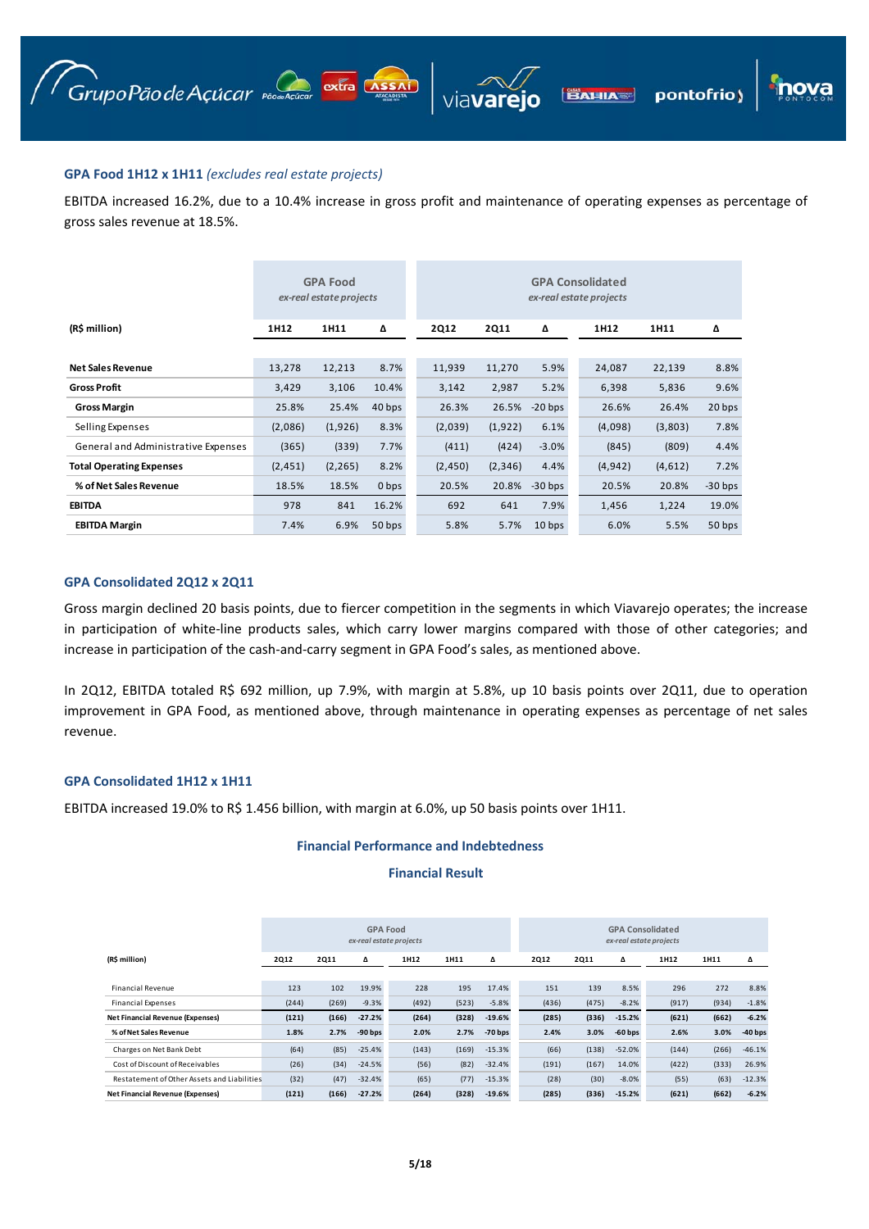pontofrio)

# **GPA Food 1H12 x 1H11** *(excludes real estate projects)*

EBITDA increased 16.2%, due to a 10.4% increase in gross profit and maintenance of operating expenses as percentage of gross sales revenue at 18.5%.

|                                     |          | <b>GPA Food</b><br>ex-real estate projects |                  | <b>GPA Consolidated</b><br>ex-real estate projects |             |                   |          |         |           |  |  |  |
|-------------------------------------|----------|--------------------------------------------|------------------|----------------------------------------------------|-------------|-------------------|----------|---------|-----------|--|--|--|
| (R\$ million)                       | 1H12     | 1H11                                       | Δ                | <b>2Q12</b>                                        | <b>2Q11</b> | Δ                 | 1H12     | 1H11    | Δ         |  |  |  |
|                                     |          |                                            |                  |                                                    |             |                   |          |         |           |  |  |  |
| <b>Net Sales Revenue</b>            | 13,278   | 12,213                                     | 8.7%             | 11,939                                             | 11,270      | 5.9%              | 24,087   | 22,139  | 8.8%      |  |  |  |
| <b>Gross Profit</b>                 | 3,429    | 3,106                                      | 10.4%            | 3,142                                              | 2,987       | 5.2%              | 6,398    | 5,836   | 9.6%      |  |  |  |
| <b>Gross Margin</b>                 | 25.8%    | 25.4%                                      | 40 bps           | 26.3%                                              | 26.5%       | $-20$ bps         | 26.6%    | 26.4%   | 20 bps    |  |  |  |
| Selling Expenses                    | (2,086)  | (1,926)                                    | 8.3%             | (2,039)                                            | (1, 922)    | 6.1%              | (4,098)  | (3,803) | 7.8%      |  |  |  |
| General and Administrative Expenses | (365)    | (339)                                      | 7.7%             | (411)                                              | (424)       | $-3.0%$           | (845)    | (809)   | 4.4%      |  |  |  |
| <b>Total Operating Expenses</b>     | (2, 451) | (2, 265)                                   | 8.2%             | (2, 450)                                           | (2,346)     | 4.4%              | (4, 942) | (4,612) | 7.2%      |  |  |  |
| % of Net Sales Revenue              | 18.5%    | 18.5%                                      | 0 <sub>bps</sub> | 20.5%                                              | 20.8%       | $-30$ bps         | 20.5%    | 20.8%   | $-30$ bps |  |  |  |
| <b>EBITDA</b>                       | 978      | 841                                        | 16.2%            | 692                                                | 641         | 7.9%              | 1,456    | 1,224   | 19.0%     |  |  |  |
| <b>EBITDA Margin</b>                | 7.4%     | 6.9%                                       | 50 bps           | 5.8%                                               | 5.7%        | 10 <sub>bps</sub> | 6.0%     | 5.5%    | 50 bps    |  |  |  |

# **GPA Consolidated 2Q12 x 2Q11**

Gross margin declined 20 basis points, due to fiercer competition in the segments in which Viavarejo operates; the increase in participation of white-line products sales, which carry lower margins compared with those of other categories; and increase in participation of the cash-and-carry segment in GPA Food's sales, as mentioned above.

In 2Q12, EBITDA totaled R\$ 692 million, up 7.9%, with margin at 5.8%, up 10 basis points over 2Q11, due to operation improvement in GPA Food, as mentioned above, through maintenance in operating expenses as percentage of net sales revenue.

## **GPA Consolidated 1H12 x 1H11**

EBITDA increased 19.0% to R\$ 1.456 billion, with margin at 6.0%, up 50 basis points over 1H11.

## **Financial Performance and Indebtedness**

# **Financial Result**

|                                             |       |             | <b>GPA Food</b> | ex-real estate projects |       |           | <b>GPA Consolidated</b><br>ex-real estate projects |             |           |       |       |           |  |
|---------------------------------------------|-------|-------------|-----------------|-------------------------|-------|-----------|----------------------------------------------------|-------------|-----------|-------|-------|-----------|--|
| (R\$ million)                               | 2Q12  | <b>2Q11</b> | Δ               | 1H12                    | 1H11  | Δ         | <b>2Q12</b>                                        | <b>2Q11</b> | Δ         | 1H12  | 1H11  | Δ         |  |
|                                             |       |             |                 |                         |       |           |                                                    |             |           |       |       |           |  |
| <b>Financial Revenue</b>                    | 123   | 102         | 19.9%           | 228                     | 195   | 17.4%     | 151                                                | 139         | 8.5%      | 296   | 272   | 8.8%      |  |
| <b>Financial Expenses</b>                   | (244) | (269)       | $-9.3%$         | (492)                   | (523) | $-5.8%$   | (436)                                              | (475)       | $-8.2%$   | (917) | (934) | $-1.8%$   |  |
| <b>Net Financial Revenue (Expenses)</b>     | (121) | (166)       | $-27.2%$        | (264)                   | (328) | $-19.6%$  | (285)                                              | (336)       | $-15.2%$  | (621) | (662) | $-6.2%$   |  |
| % of Net Sales Revenue                      | 1.8%  | 2.7%        | $-90$ bps       | 2.0%                    | 2.7%  | $-70$ bps | 2.4%                                               | 3.0%        | $-60$ bps | 2.6%  | 3.0%  | $-40$ bps |  |
| Charges on Net Bank Debt                    | (64)  | (85)        | $-25.4%$        | (143)                   | (169) | $-15.3%$  | (66)                                               | (138)       | $-52.0%$  | (144) | (266) | $-46.1%$  |  |
| Cost of Discount of Receivables             | (26)  | (34)        | $-24.5%$        | (56)                    | (82)  | $-32.4%$  | (191)                                              | (167)       | 14.0%     | (422) | (333) | 26.9%     |  |
| Restatement of Other Assets and Liabilities | (32)  | (47)        | $-32.4%$        | (65)                    | (77)  | $-15.3%$  | (28)                                               | (30)        | $-8.0%$   | (55)  | (63)  | $-12.3%$  |  |
| <b>Net Financial Revenue (Expenses)</b>     | (121) | (166)       | $-27.2%$        | (264)                   | (328) | $-19.6%$  | (285)                                              | (336)       | $-15.2%$  | (621) | (662) | $-6.2%$   |  |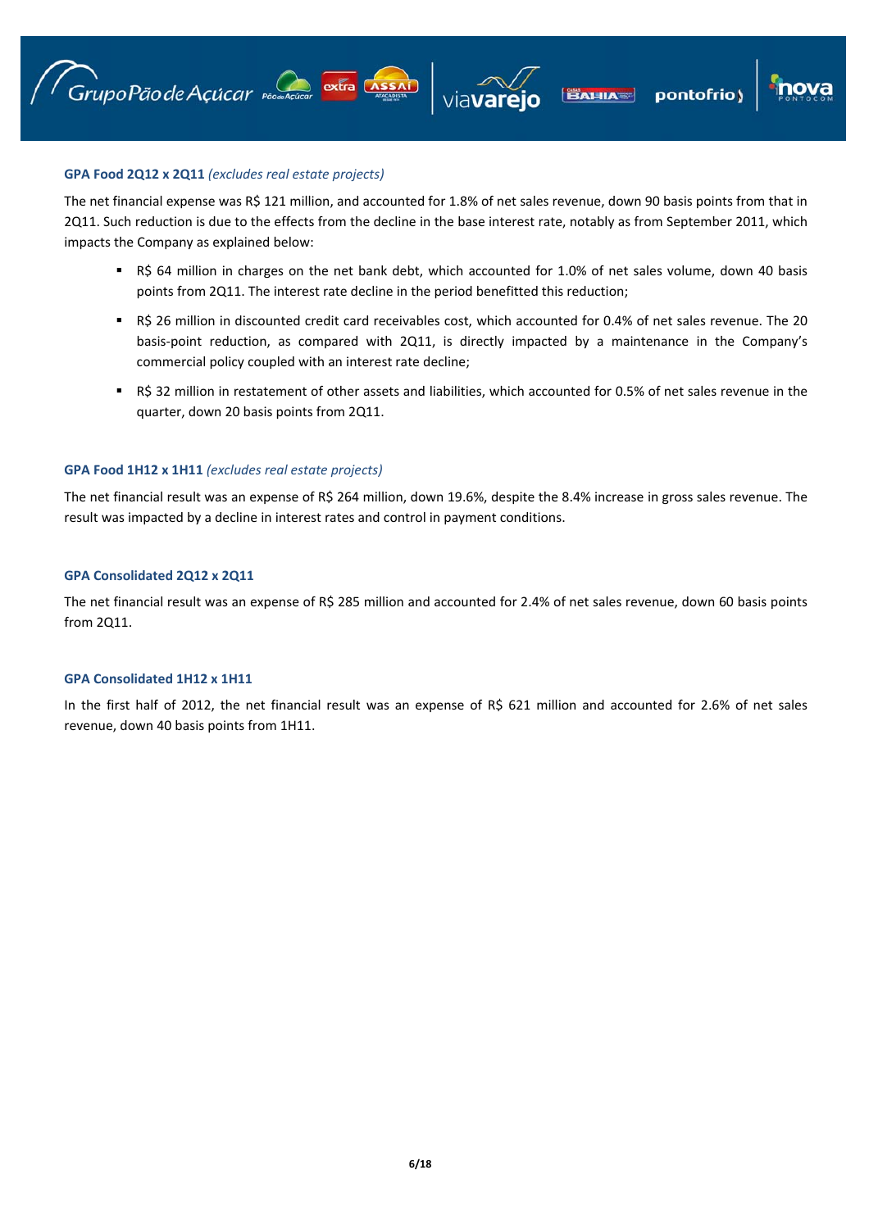

pontofrio)

# **GPA Food 2Q12 x 2Q11** *(excludes real estate projects)*

The net financial expense was R\$ 121 million, and accounted for 1.8% of net sales revenue, down 90 basis points from that in 2Q11. Such reduction is due to the effects from the decline in the base interest rate, notably as from September 2011, which impacts the Company as explained below:

- R\$ 64 million in charges on the net bank debt, which accounted for 1.0% of net sales volume, down 40 basis points from 2Q11. The interest rate decline in the period benefitted this reduction;
- R\$ 26 million in discounted credit card receivables cost, which accounted for 0.4% of net sales revenue. The 20 basis-point reduction, as compared with 2Q11, is directly impacted by a maintenance in the Company's commercial policy coupled with an interest rate decline;
- R\$ 32 million in restatement of other assets and liabilities, which accounted for 0.5% of net sales revenue in the quarter, down 20 basis points from 2Q11.

# **GPA Food 1H12 x 1H11** *(excludes real estate projects)*

The net financial result was an expense of R\$ 264 million, down 19.6%, despite the 8.4% increase in gross sales revenue. The result was impacted by a decline in interest rates and control in payment conditions.

# **GPA Consolidated 2Q12 x 2Q11**

The net financial result was an expense of R\$ 285 million and accounted for 2.4% of net sales revenue, down 60 basis points from 2Q11.

# **GPA Consolidated 1H12 x 1H11**

In the first half of 2012, the net financial result was an expense of R\$ 621 million and accounted for 2.6% of net sales revenue, down 40 basis points from 1H11.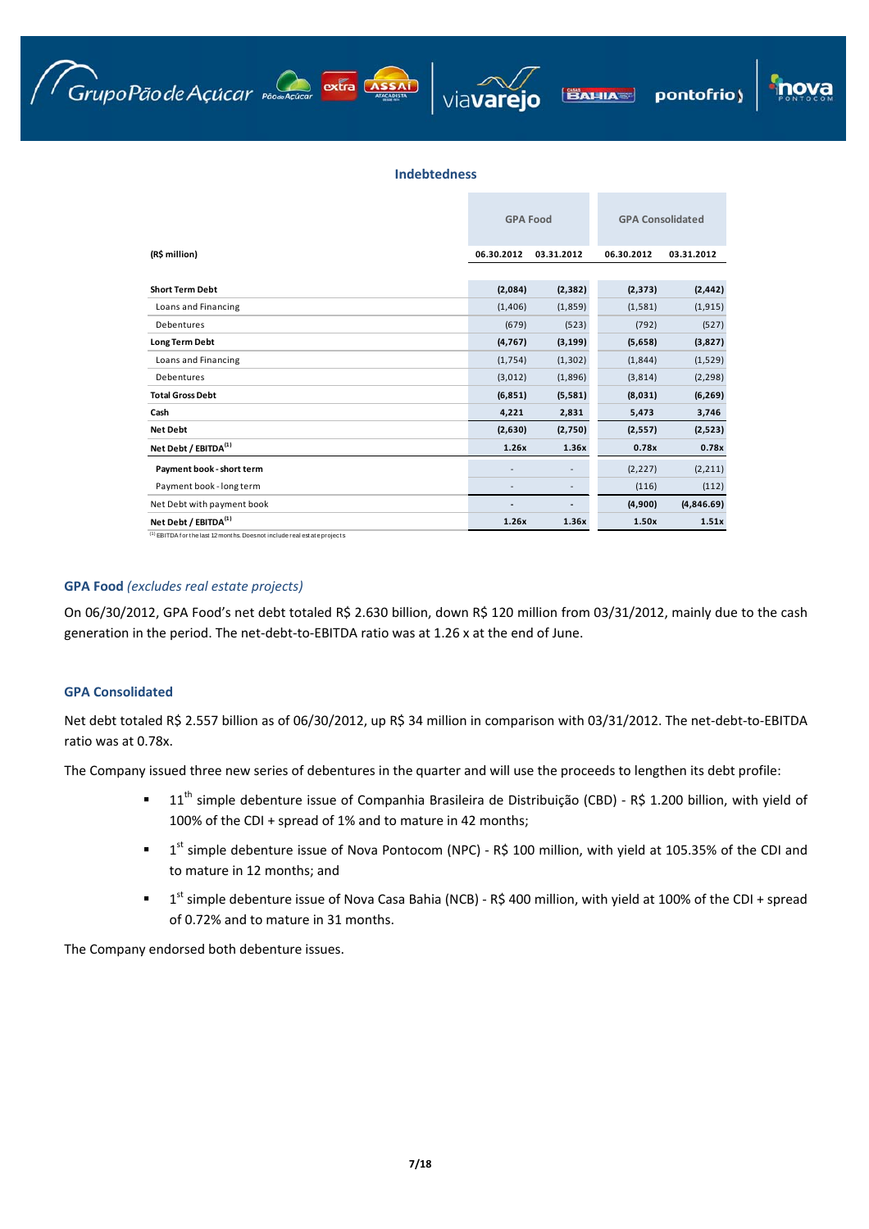





## **Indebtedness**

|                                  | <b>GPA Food</b> |            |            | <b>GPA Consolidated</b> |  |  |
|----------------------------------|-----------------|------------|------------|-------------------------|--|--|
| (R\$ million)                    | 06.30.2012      | 03.31.2012 | 06.30.2012 | 03.31.2012              |  |  |
|                                  |                 |            |            |                         |  |  |
| <b>Short Term Debt</b>           | (2,084)         | (2, 382)   | (2, 373)   | (2, 442)                |  |  |
| Loans and Financing              | (1,406)         | (1,859)    | (1,581)    | (1, 915)                |  |  |
| Debentures                       | (679)           | (523)      | (792)      | (527)                   |  |  |
| <b>Long Term Debt</b>            | (4, 767)        | (3, 199)   | (5,658)    | (3,827)                 |  |  |
| Loans and Financing              | (1, 754)        | (1, 302)   | (1,844)    | (1,529)                 |  |  |
| Debentures                       | (3,012)         | (1,896)    | (3,814)    | (2, 298)                |  |  |
| <b>Total Gross Debt</b>          | (6, 851)        | (5,581)    | (8,031)    | (6, 269)                |  |  |
| Cash                             | 4,221           | 2,831      | 5,473      | 3,746                   |  |  |
| <b>Net Debt</b>                  | (2,630)         | (2,750)    | (2, 557)   | (2,523)                 |  |  |
| Net Debt / EBITDA <sup>(1)</sup> | 1.26x           | 1.36x      | 0.78x      | 0.78x                   |  |  |
| Payment book - short term        |                 |            | (2, 227)   | (2, 211)                |  |  |
| Payment book - long term         |                 |            | (116)      | (112)                   |  |  |
| Net Debt with payment book       |                 |            | (4,900)    | (4,846.69)              |  |  |
| Net Debt / EBITDA <sup>(1)</sup> | 1.26x           | 1.36x      | 1.50x      | 1.51x                   |  |  |

 $(1)$  EBITDA for the last 12 months. Does not include real estate projects

# **GPA Food** *(excludes real estate projects)*

On 06/30/2012, GPA Food's net debt totaled R\$ 2.630 billion, down R\$ 120 million from 03/31/2012, mainly due to the cash generation in the period. The net‐debt‐to‐EBITDA ratio was at 1.26 x at the end of June.

## **GPA Consolidated**

Net debt totaled R\$ 2.557 billion as of 06/30/2012, up R\$ 34 million in comparison with 03/31/2012. The net‐debt‐to‐EBITDA ratio was at 0.78x.

The Company issued three new series of debentures in the quarter and will use the proceeds to lengthen its debt profile:

- $11<sup>th</sup>$  simple debenture issue of Companhia Brasileira de Distribuição (CBD) R\$ 1.200 billion, with yield of 100% of the CDI + spread of 1% and to mature in 42 months;
- $1$ <sup>st</sup> simple debenture issue of Nova Pontocom (NPC) R\$ 100 million, with yield at 105.35% of the CDI and to mature in 12 months; and
- $1$ <sup>st</sup> simple debenture issue of Nova Casa Bahia (NCB) R\$ 400 million, with yield at 100% of the CDI + spread of 0.72% and to mature in 31 months.

The Company endorsed both debenture issues.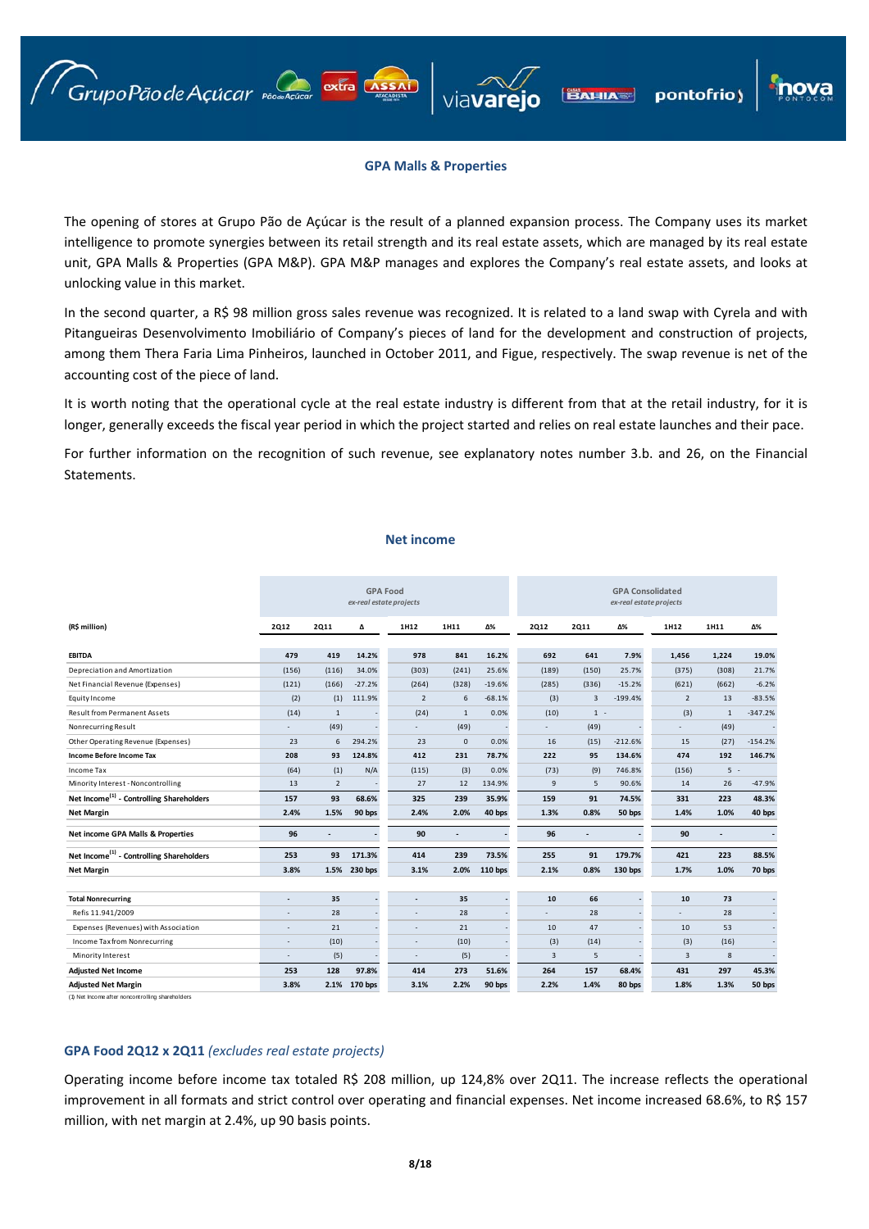## **GPA Malls & Properties**

pontofrio)

**BAHIA** 

The opening of stores at Grupo Pão de Açúcar is the result of a planned expansion process. The Company uses its market intelligence to promote synergies between its retail strength and its real estate assets, which are managed by its real estate unit, GPA Malls & Properties (GPA M&P). GPA M&P manages and explores the Company's real estate assets, and looks at unlocking value in this market.

In the second quarter, a R\$ 98 million gross sales revenue was recognized. It is related to a land swap with Cyrela and with Pitangueiras Desenvolvimento Imobiliário of Company's pieces of land for the development and construction of projects, among them Thera Faria Lima Pinheiros, launched in October 2011, and Figue, respectively. The swap revenue is net of the accounting cost of the piece of land.

It is worth noting that the operational cycle at the real estate industry is different from that at the retail industry, for it is longer, generally exceeds the fiscal year period in which the project started and relies on real estate launches and their pace.

For further information on the recognition of such revenue, see explanatory notes number 3.b. and 26, on the Financial Statements.

#### **Net income**

|                                                      |                          |                |                          | <b>GPA Food</b><br>ex-real estate projects |              |                |                |       |           | <b>GPA Consolidated</b><br>ex-real estate projects |              |           |
|------------------------------------------------------|--------------------------|----------------|--------------------------|--------------------------------------------|--------------|----------------|----------------|-------|-----------|----------------------------------------------------|--------------|-----------|
| (R\$ million)                                        | <b>2Q12</b>              | <b>2Q11</b>    | Δ                        | 1H12                                       | 1H11         | Δ%             | <b>2Q12</b>    | 2011  | Δ%        | 1H12                                               | 1H11         | Δ%        |
|                                                      |                          |                | 14.2%                    |                                            | 841          | 16.2%          | 692            | 641   | 7.9%      |                                                    |              | 19.0%     |
| <b>EBITDA</b>                                        | 479                      | 419            |                          | 978                                        |              |                |                |       |           | 1,456                                              | 1,224        |           |
| Depreciation and Amortization                        | (156)                    | (116)          | 34.0%                    | (303)                                      | (241)        | 25.6%          | (189)          | (150) | 25.7%     | (375)                                              | (308)        | 21.7%     |
| Net Financial Revenue (Expenses)                     | (121)                    | (166)          | $-27.2%$                 | (264)                                      | (328)        | $-19.6%$       | (285)          | (336) | $-15.2%$  | (621)                                              | (662)        | $-6.2%$   |
| Equity Income                                        | (2)                      | (1)            | 111.9%                   | $\overline{2}$                             | 6            | $-68.1%$       | (3)            | 3     | $-199.4%$ | $\overline{2}$                                     | 13           | $-83.5%$  |
| <b>Result from Permanent Assets</b>                  | (14)                     | $\mathbf{1}$   |                          | (24)                                       | $\mathbf{1}$ | 0.0%           | (10)           | $1 -$ |           | (3)                                                | $\mathbf{1}$ | $-347.2%$ |
| Nonrecurring Result                                  |                          | (49)           |                          |                                            | (49)         |                | ÷.             | (49)  |           | $\overline{a}$                                     | (49)         |           |
| Other Operating Revenue (Expenses)                   | 23                       | 6              | 294.2%                   | 23                                         | $\mathbf{0}$ | 0.0%           | 16             | (15)  | $-212.6%$ | 15                                                 | (27)         | $-154.2%$ |
| Income Before Income Tax                             | 208                      | 93             | 124.8%                   | 412                                        | 231          | 78.7%          | 222            | 95    | 134.6%    | 474                                                | 192          | 146.7%    |
| Income Tax                                           | (64)                     | (1)            | N/A                      | (115)                                      | (3)          | 0.0%           | (73)           | (9)   | 746.8%    | (156)                                              | $5 -$        |           |
| Minority Interest - Noncontrolling                   | 13                       | $\overline{2}$ |                          | 27                                         | 12           | 134.9%         | 9              | 5     | 90.6%     | 14                                                 | 26           | $-47.9%$  |
| Net Income <sup>(1)</sup> - Controlling Shareholders | 157                      | 93             | 68.6%                    | 325                                        | 239          | 35.9%          | 159            | 91    | 74.5%     | 331                                                | 223          | 48.3%     |
| <b>Net Margin</b>                                    | 2.4%                     | 1.5%           | 90 bps                   | 2.4%                                       | 2.0%         | 40 bps         | 1.3%           | 0.8%  | 50 bps    | 1.4%                                               | 1.0%         | 40 bps    |
| Net income GPA Malls & Properties                    | 96                       |                | $\overline{\phantom{a}}$ | 90                                         |              | $\overline{a}$ | 96             |       |           | 90                                                 |              |           |
| Net Income <sup>(1)</sup> - Controlling Shareholders | 253                      | 93             | 171.3%                   | 414                                        | 239          | 73.5%          | 255            | 91    | 179.7%    | 421                                                | 223          | 88.5%     |
| <b>Net Margin</b>                                    | 3.8%                     | 1.5%           | 230 bps                  | 3.1%                                       | 2.0%         | 110 bps        | 2.1%           | 0.8%  | 130 bps   | 1.7%                                               | 1.0%         | 70 bps    |
|                                                      |                          |                |                          |                                            |              |                |                |       |           |                                                    |              |           |
| <b>Total Nonrecurring</b>                            | ۳                        | 35             |                          |                                            | 35           |                | 10             | 66    |           | 10                                                 | 73           |           |
| Refis 11.941/2009                                    |                          | 28             |                          |                                            | 28           |                |                | 28    |           |                                                    | 28           |           |
| Expenses (Revenues) with Association                 | ä,                       | 21             |                          |                                            | 21           |                | 10             | 47    |           | 10                                                 | 53           |           |
| Income Tax from Nonrecurring                         | $\overline{\phantom{a}}$ | (10)           |                          |                                            | (10)         |                | (3)            | (14)  |           | (3)                                                | (16)         |           |
| Minority Interest                                    | $\overline{\phantom{a}}$ | (5)            |                          | $\sim$                                     | (5)          |                | $\overline{3}$ | 5     |           | $\overline{3}$                                     | 8            |           |
| <b>Adjusted Net Income</b>                           | 253                      | 128            | 97.8%                    | 414                                        | 273          | 51.6%          | 264            | 157   | 68.4%     | 431                                                | 297          | 45.3%     |
| <b>Adjusted Net Margin</b>                           | 3.8%                     |                | 2.1% 170 bps             | 3.1%                                       | 2.2%         | 90 bps         | 2.2%           | 1.4%  | 80 bps    | 1.8%                                               | 1.3%         | 50 bps    |

(1) Net Income after noncontrolling shareholders

## **GPA Food 2Q12 x 2Q11** *(excludes real estate projects)*

Grupo Pão de Açúcar reconsider extra CASSAI

Operating income before income tax totaled R\$ 208 million, up 124,8% over 2Q11. The increase reflects the operational improvement in all formats and strict control over operating and financial expenses. Net income increased 68.6%, to R\$ 157 million, with net margin at 2.4%, up 90 basis points.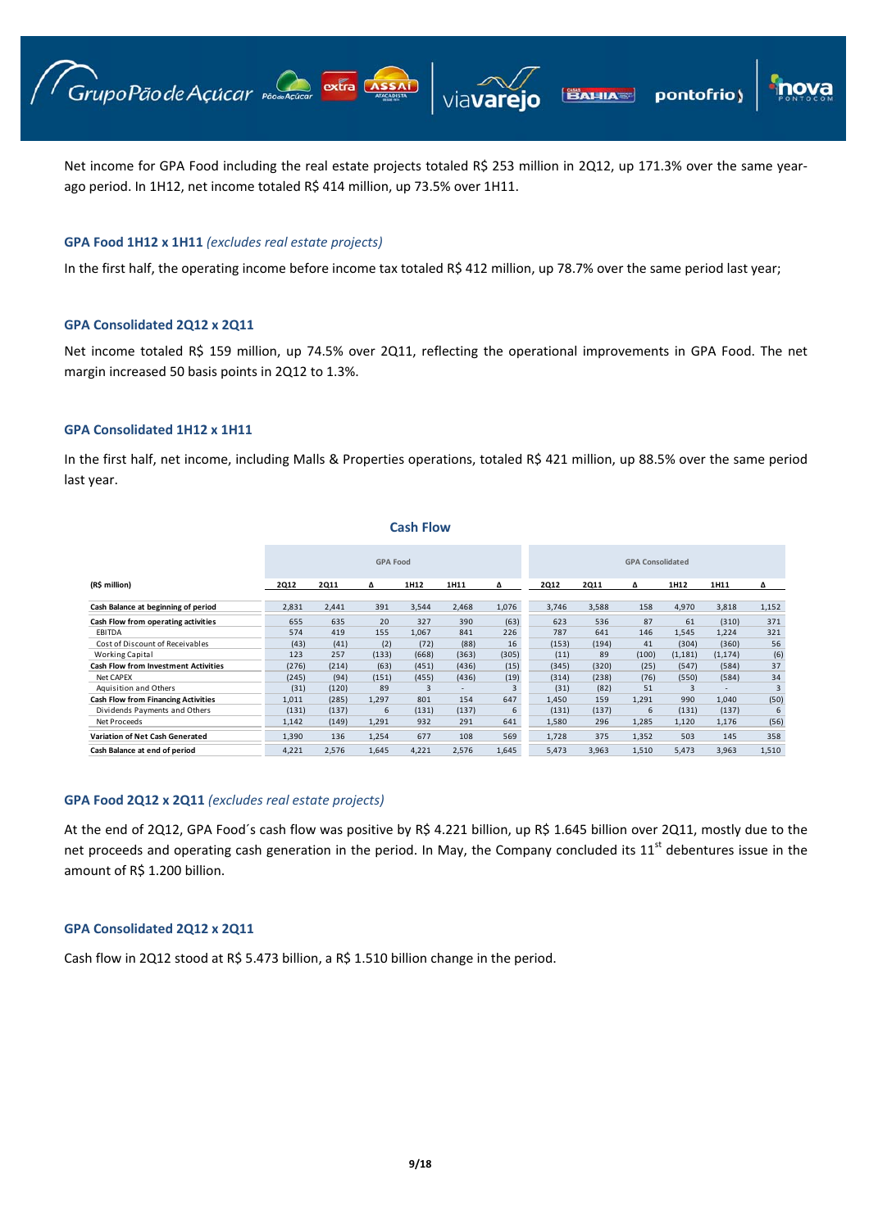Net income for GPA Food including the real estate projects totaled R\$ 253 million in 2Q12, up 171.3% over the same yearago period. In 1H12, net income totaled R\$ 414 million, up 73.5% over 1H11.

**BAHIA** 

pontofrio)

### **GPA Food 1H12 x 1H11** *(excludes real estate projects)*

Grupo Pão de Açúcar passadare extra Assai

In the first half, the operating income before income tax totaled R\$ 412 million, up 78.7% over the same period last year;

#### **GPA Consolidated 2Q12 x 2Q11**

Net income totaled R\$ 159 million, up 74.5% over 2Q11, reflecting the operational improvements in GPA Food. The net margin increased 50 basis points in 2Q12 to 1.3%.

#### **GPA Consolidated 1H12 x 1H11**

In the first half, net income, including Malls & Properties operations, totaled R\$ 421 million, up 88.5% over the same period last year.

#### **Cash Flow**

|                                             |             |             | <b>GPA Food</b> |       |                          |       |             |             | <b>GPA Consolidated</b> |          |          |                |
|---------------------------------------------|-------------|-------------|-----------------|-------|--------------------------|-------|-------------|-------------|-------------------------|----------|----------|----------------|
| (R\$ million)                               | <b>2Q12</b> | <b>2Q11</b> | Δ               | 1H12  | 1H11                     | Δ     | <b>2Q12</b> | <b>2Q11</b> | Δ                       | 1H12     | 1H11     | Δ              |
| Cash Balance at beginning of period         | 2,831       | 2,441       | 391             | 3,544 | 2,468                    | 1,076 | 3,746       | 3,588       | 158                     | 4,970    | 3,818    | 1,152          |
| Cash Flow from operating activities         | 655         | 635         | 20              | 327   | 390                      | (63)  | 623         | 536         | 87                      | 61       | (310)    | 371            |
| <b>EBITDA</b>                               | 574         | 419         | 155             | 1,067 | 841                      | 226   | 787         | 641         | 146                     | 1,545    | 1,224    | 321            |
| Cost of Discount of Receivables             | (43)        | (41)        | (2)             | (72)  | (88)                     | 16    | (153)       | (194)       | 41                      | (304)    | (360)    | 56             |
| <b>Working Capital</b>                      | 123         | 257         | (133)           | (668) | (363)                    | (305) | (11)        | 89          | (100)                   | (1, 181) | (1, 174) | (6)            |
| <b>Cash Flow from Investment Activities</b> | (276)       | (214)       | (63)            | (451) | (436)                    | (15)  | (345)       | (320)       | (25)                    | (547)    | (584)    | 37             |
| <b>Net CAPEX</b>                            | (245)       | (94)        | (151)           | (455) | (436)                    | (19)  | (314)       | (238)       | (76)                    | (550)    | (584)    | 34             |
| Aquisition and Others                       | (31)        | (120)       | 89              | 3     | $\overline{\phantom{0}}$ |       | (31)        | (82)        | 51                      | 3        | ۰        | $\overline{3}$ |
| <b>Cash Flow from Financing Activities</b>  | 1,011       | (285)       | 1,297           | 801   | 154                      | 647   | 1,450       | 159         | 1,291                   | 990      | 1,040    | (50)           |
| Dividends Payments and Others               | (131)       | (137)       | 6               | (131) | (137)                    | 6     | (131)       | (137)       | 6                       | (131)    | (137)    | 6              |
| Net Proceeds                                | 1,142       | (149)       | 1,291           | 932   | 291                      | 641   | 1,580       | 296         | 1,285                   | 1,120    | 1,176    | (56)           |
| Variation of Net Cash Generated             | 1,390       | 136         | 1,254           | 677   | 108                      | 569   | 1.728       | 375         | 1,352                   | 503      | 145      | 358            |
| Cash Balance at end of period               | 4,221       | 2,576       | 1,645           | 4,221 | 2,576                    | 1,645 | 5,473       | 3,963       | 1,510                   | 5,473    | 3,963    | 1,510          |

### **GPA Food 2Q12 x 2Q11** *(excludes real estate projects)*

At the end of 2Q12, GPA Food´s cash flow was positive by R\$ 4.221 billion, up R\$ 1.645 billion over 2Q11, mostly due to the net proceeds and operating cash generation in the period. In May, the Company concluded its  $11^{st}$  debentures issue in the amount of R\$ 1.200 billion.

#### **GPA Consolidated 2Q12 x 2Q11**

Cash flow in 2Q12 stood at R\$ 5.473 billion, a R\$ 1.510 billion change in the period.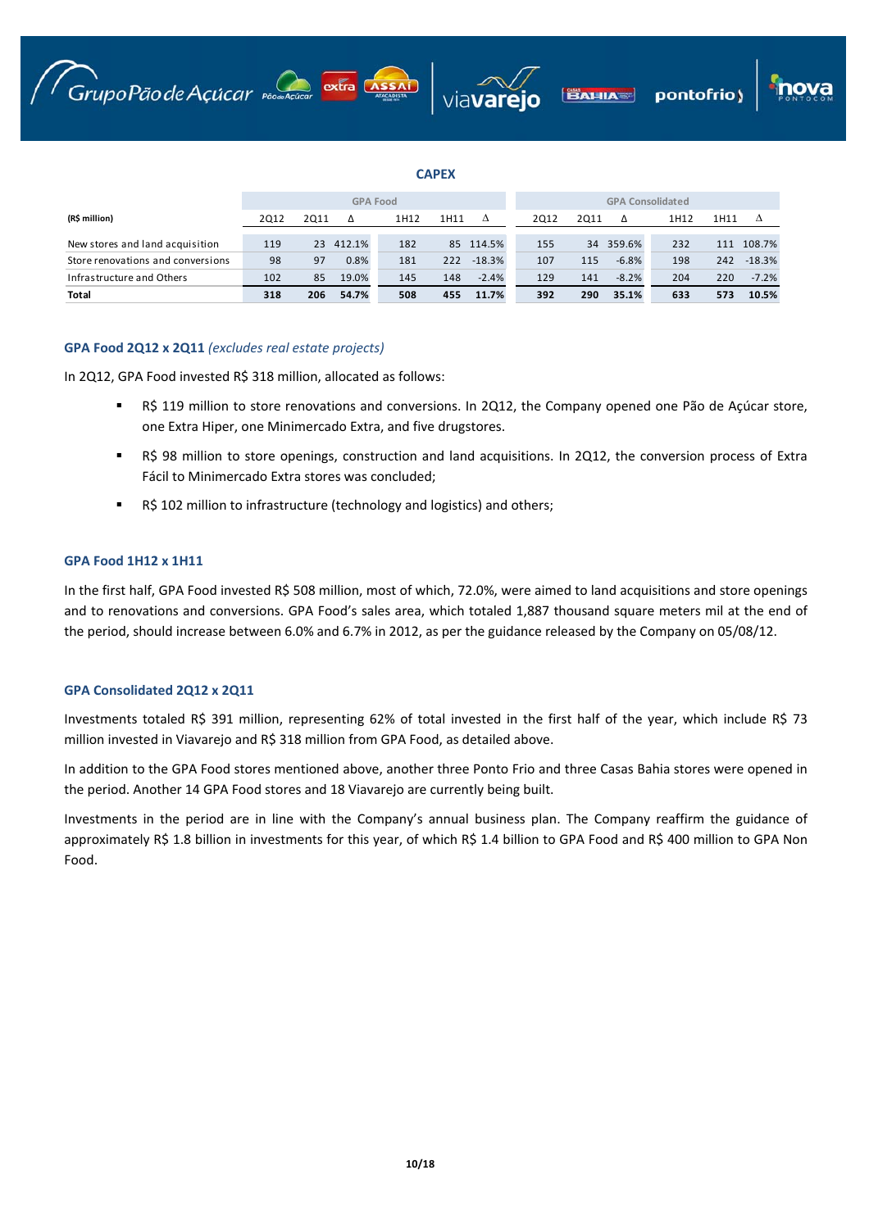





# **CAPEX**

|                                   |      | <b>GPA Food</b> |        |      |      |           |  |      | <b>GPA Consolidated</b> |           |      |      |          |  |  |
|-----------------------------------|------|-----------------|--------|------|------|-----------|--|------|-------------------------|-----------|------|------|----------|--|--|
| (R\$ million)                     | 2012 | 2011            | Δ      | 1H12 | 1H11 | Δ         |  | 2012 | 2011                    | Δ         | 1H12 | 1H11 | Δ        |  |  |
| New stores and land acquisition   | 119  | 23              | 412.1% | 182  |      | 85 114.5% |  | 155  |                         | 34 359.6% | 232  | 111  | 108.7%   |  |  |
| Store renovations and conversions | 98   | 97              | 0.8%   | 181  | 222  | $-18.3%$  |  | 107  | 115                     | $-6.8%$   | 198  | 242  | $-18.3%$ |  |  |
| Infrastructure and Others         | 102  | 85              | 19.0%  | 145  | 148  | $-2.4%$   |  | 129  | 141                     | $-8.2%$   | 204  | 220  | $-7.2%$  |  |  |
| <b>Total</b>                      | 318  | 206             | 54.7%  | 508  | 455  | 11.7%     |  | 392  | 290                     | 35.1%     | 633  | 573  | 10.5%    |  |  |

# **GPA Food 2Q12 x 2Q11** *(excludes real estate projects)*

In 2Q12, GPA Food invested R\$ 318 million, allocated as follows:

- R\$ 119 million to store renovations and conversions. In 2Q12, the Company opened one Pão de Açúcar store, one Extra Hiper, one Minimercado Extra, and five drugstores.
- R\$ 98 million to store openings, construction and land acquisitions. In 2Q12, the conversion process of Extra Fácil to Minimercado Extra stores was concluded;
- R\$ 102 million to infrastructure (technology and logistics) and others;

## **GPA Food 1H12 x 1H11**

In the first half, GPA Food invested R\$ 508 million, most of which, 72.0%, were aimed to land acquisitions and store openings and to renovations and conversions. GPA Food's sales area, which totaled 1,887 thousand square meters mil at the end of the period, should increase between 6.0% and 6.7% in 2012, as per the guidance released by the Company on 05/08/12.

## **GPA Consolidated 2Q12 x 2Q11**

Investments totaled R\$ 391 million, representing 62% of total invested in the first half of the year, which include R\$ 73 million invested in Viavarejo and R\$ 318 million from GPA Food, as detailed above.

In addition to the GPA Food stores mentioned above, another three Ponto Frio and three Casas Bahia stores were opened in the period. Another 14 GPA Food stores and 18 Viavarejo are currently being built.

Investments in the period are in line with the Company's annual business plan. The Company reaffirm the guidance of approximately R\$ 1.8 billion in investments for this year, of which R\$ 1.4 billion to GPA Food and R\$ 400 million to GPA Non Food.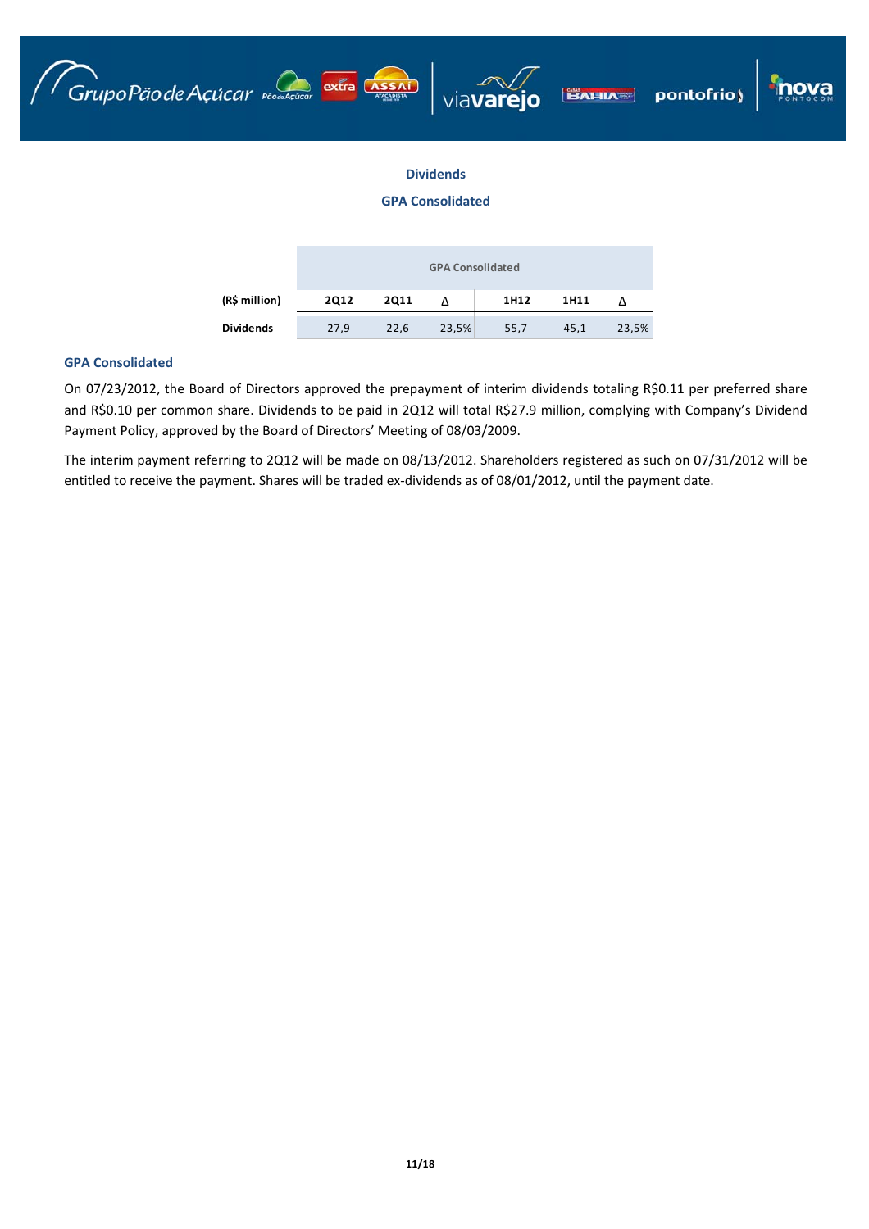





# **Dividends**

# **GPA Consolidated**

|               |             |      | <b>GPA Consolidated</b> |      |      |       |
|---------------|-------------|------|-------------------------|------|------|-------|
| (R\$ million) | <b>2Q12</b> | 2011 |                         | 1H12 | 1H11 |       |
| Dividends     | 27,9        | 22,6 | 23,5%                   | 55,7 | 45,1 | 23,5% |

# **GPA Consolidated**

On 07/23/2012, the Board of Directors approved the prepayment of interim dividends totaling R\$0.11 per preferred share and R\$0.10 per common share. Dividends to be paid in 2Q12 will total R\$27.9 million, complying with Company's Dividend Payment Policy, approved by the Board of Directors' Meeting of 08/03/2009.

The interim payment referring to 2Q12 will be made on 08/13/2012. Shareholders registered as such on 07/31/2012 will be entitled to receive the payment. Shares will be traded ex-dividends as of 08/01/2012, until the payment date.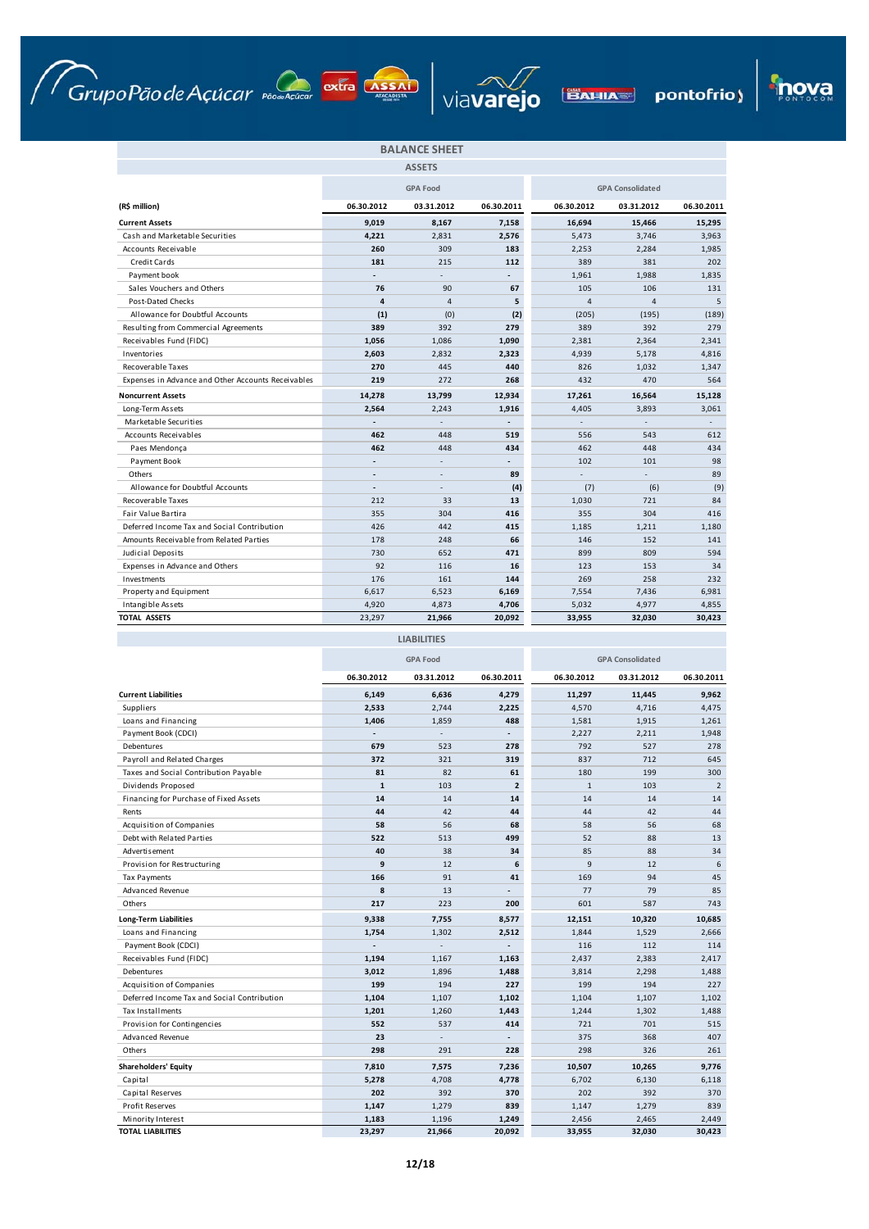







|                                                    |                          | <b>BALANCE SHEET</b> |                |                |                         |            |
|----------------------------------------------------|--------------------------|----------------------|----------------|----------------|-------------------------|------------|
|                                                    |                          | <b>ASSETS</b>        |                |                |                         |            |
|                                                    |                          | <b>GPA Food</b>      |                |                | <b>GPA Consolidated</b> |            |
| (R\$ million)                                      | 06.30.2012               | 03.31.2012           | 06.30.2011     | 06.30.2012     | 03.31.2012              | 06.30.2011 |
| <b>Current Assets</b>                              | 9,019                    | 8,167                | 7,158          | 16,694         | 15,466                  | 15,295     |
| Cash and Marketable Securities                     | 4,221                    | 2,831                | 2,576          | 5,473          | 3,746                   | 3,963      |
| Accounts Receivable                                | 260                      | 309                  | 183            | 2.253          | 2,284                   | 1,985      |
| Credit Cards                                       | 181                      | 215                  | 112            | 389            | 381                     | 202        |
| Payment book                                       |                          | L.                   | $\overline{a}$ | 1,961          | 1,988                   | 1,835      |
| Sales Vouchers and Others                          | 76                       | 90                   | 67             | 105            | 106                     | 131        |
| Post-Dated Checks                                  | $\overline{\mathbf{a}}$  | $\overline{4}$       | 5              | $\overline{a}$ | $\overline{\mathbf{4}}$ | 5          |
| Allowance for Doubtful Accounts                    | (1)                      | (0)                  | (2)            | (205)          | (195)                   | (189)      |
| Resulting from Commercial Agreements               | 389                      | 392                  | 279            | 389            | 392                     | 279        |
| Receivables Fund (FIDC)                            | 1,056                    | 1,086                | 1,090          | 2,381          | 2,364                   | 2,341      |
| Inventories                                        | 2,603                    | 2,832                | 2,323          | 4,939          | 5,178                   | 4,816      |
| Recoverable Taxes                                  | 270                      | 445                  | 440            | 826            | 1,032                   | 1,347      |
| Expenses in Advance and Other Accounts Receivables | 219                      | 272                  | 268            | 432            | 470                     | 564        |
| <b>Noncurrent Assets</b>                           | 14,278                   | 13,799               | 12,934         | 17,261         | 16,564                  | 15,128     |
| Long-Term Assets                                   | 2,564                    | 2,243                | 1,916          | 4,405          | 3,893                   | 3,061      |
| Marketable Securities                              |                          |                      |                |                |                         |            |
| <b>Accounts Receivables</b>                        | 462                      | 448                  | 519            | 556            | 543                     | 612        |
| Paes Mendonça                                      | 462                      | 448                  | 434            | 462            | 448                     | 434        |
| Payment Book                                       |                          | ä,                   | $\overline{a}$ | 102            | 101                     | 98         |
| Others                                             | $\overline{a}$           | ٠                    | 89             |                | ÷.                      | 89         |
| Allowance for Doubtful Accounts                    | $\overline{\phantom{a}}$ | ä,                   | (4)            | (7)            | (6)                     | (9)        |
| <b>Recoverable Taxes</b>                           | 212                      | 33                   | 13             | 1,030          | 721                     | 84         |
| Fair Value Bartira                                 | 355                      | 304                  | 416            | 355            | 304                     | 416        |
| Deferred Income Tax and Social Contribution        | 426                      | 442                  | 415            | 1,185          | 1,211                   | 1,180      |
| Amounts Receivable from Related Parties            | 178                      | 248                  | 66             | 146            | 152                     | 141        |
| Judicial Deposits                                  | 730                      | 652                  | 471            | 899            | 809                     | 594        |
| Expenses in Advance and Others                     | 92                       | 116                  | 16             | 123            | 153                     | 34         |
| Investments                                        | 176                      | 161                  | 144            | 269            | 258                     | 232        |
| Property and Equipment                             | 6,617                    | 6,523                | 6,169          | 7,554          | 7,436                   | 6,981      |
| Intangible Assets                                  | 4,920                    | 4,873                | 4,706          | 5,032          | 4,977                   | 4,855      |
| <b>TOTAL ASSETS</b>                                | 23.297                   | 21,966               | 20.092         | 33.955         | 32.030                  | 30.423     |

**LIABILITIES**

|                                             |                | <b>GPA Food</b> |                          |              | <b>GPA Consolidated</b> |                |
|---------------------------------------------|----------------|-----------------|--------------------------|--------------|-------------------------|----------------|
|                                             | 06.30.2012     | 03.31.2012      | 06.30.2011               | 06.30.2012   | 03.31.2012              | 06.30.2011     |
| <b>Current Liabilities</b>                  | 6,149          | 6,636           | 4,279                    | 11,297       | 11,445                  | 9,962          |
| Suppliers                                   | 2,533          | 2,744           | 2,225                    | 4,570        | 4,716                   | 4,475          |
| Loans and Financing                         | 1,406          | 1,859           | 488                      | 1,581        | 1,915                   | 1,261          |
| Payment Book (CDCI)                         |                |                 | $\overline{\phantom{0}}$ | 2,227        | 2,211                   | 1,948          |
| Debentures                                  | 679            | 523             | 278                      | 792          | 527                     | 278            |
| Payroll and Related Charges                 | 372            | 321             | 319                      | 837          | 712                     | 645            |
| Taxes and Social Contribution Payable       | 81             | 82              | 61                       | 180          | 199                     | 300            |
| Dividends Proposed                          | $\mathbf{1}$   | 103             | $\overline{2}$           | $\mathbf{1}$ | 103                     | $\overline{2}$ |
| Financing for Purchase of Fixed Assets      | 14             | 14              | 14                       | 14           | 14                      | 14             |
| Rents                                       | 44             | 42              | 44                       | 44           | 42                      | 44             |
| Acquisition of Companies                    | 58             | 56              | 68                       | 58           | 56                      | 68             |
| Debt with Related Parties                   | 522            | 513             | 499                      | 52           | 88                      | 13             |
| Advertisement                               | 40             | 38              | 34                       | 85           | 88                      | 34             |
| Provision for Restructuring                 | 9              | 12              | 6                        | 9            | 12                      | 6              |
| <b>Tax Payments</b>                         | 166            | 91              | 41                       | 169          | 94                      | 45             |
| <b>Advanced Revenue</b>                     | 8              | 13              | $\overline{a}$           | 77           | 79                      | 85             |
| Others                                      | 217            | 223             | 200                      | 601          | 587                     | 743            |
| <b>Long-Term Liabilities</b>                | 9,338          | 7,755           | 8,577                    | 12,151       | 10,320                  | 10,685         |
| Loans and Financing                         | 1,754          | 1,302           | 2,512                    | 1,844        | 1,529                   | 2,666          |
| Payment Book (CDCI)                         | $\overline{a}$ |                 |                          | 116          | 112                     | 114            |
| Receivables Fund (FIDC)                     | 1,194          | 1,167           | 1,163                    | 2,437        | 2,383                   | 2,417          |
| Debentures                                  | 3,012          | 1,896           | 1,488                    | 3,814        | 2,298                   | 1,488          |
| <b>Acquisition of Companies</b>             | 199            | 194             | 227                      | 199          | 194                     | 227            |
| Deferred Income Tax and Social Contribution | 1,104          | 1,107           | 1,102                    | 1,104        | 1,107                   | 1,102          |
| <b>Tax Installments</b>                     | 1,201          | 1,260           | 1,443                    | 1,244        | 1,302                   | 1,488          |
| Provision for Contingencies                 | 552            | 537             | 414                      | 721          | 701                     | 515            |
| <b>Advanced Revenue</b>                     | 23             |                 |                          | 375          | 368                     | 407            |
| Others                                      | 298            | 291             | 228                      | 298          | 326                     | 261            |
| <b>Shareholders' Equity</b>                 | 7,810          | 7,575           | 7,236                    | 10,507       | 10,265                  | 9,776          |
| Capital                                     | 5,278          | 4,708           | 4,778                    | 6,702        | 6,130                   | 6,118          |
| Capital Reserves                            | 202            | 392             | 370                      | 202          | 392                     | 370            |
| Profit Reserves                             | 1,147          | 1,279           | 839                      | 1,147        | 1,279                   | 839            |
| Minority Interest                           | 1,183          | 1,196           | 1,249                    | 2,456        | 2,465                   | 2,449          |
| <b>TOTAL LIABILITIES</b>                    | 23,297         | 21,966          | 20,092                   | 33,955       | 32,030                  | 30,423         |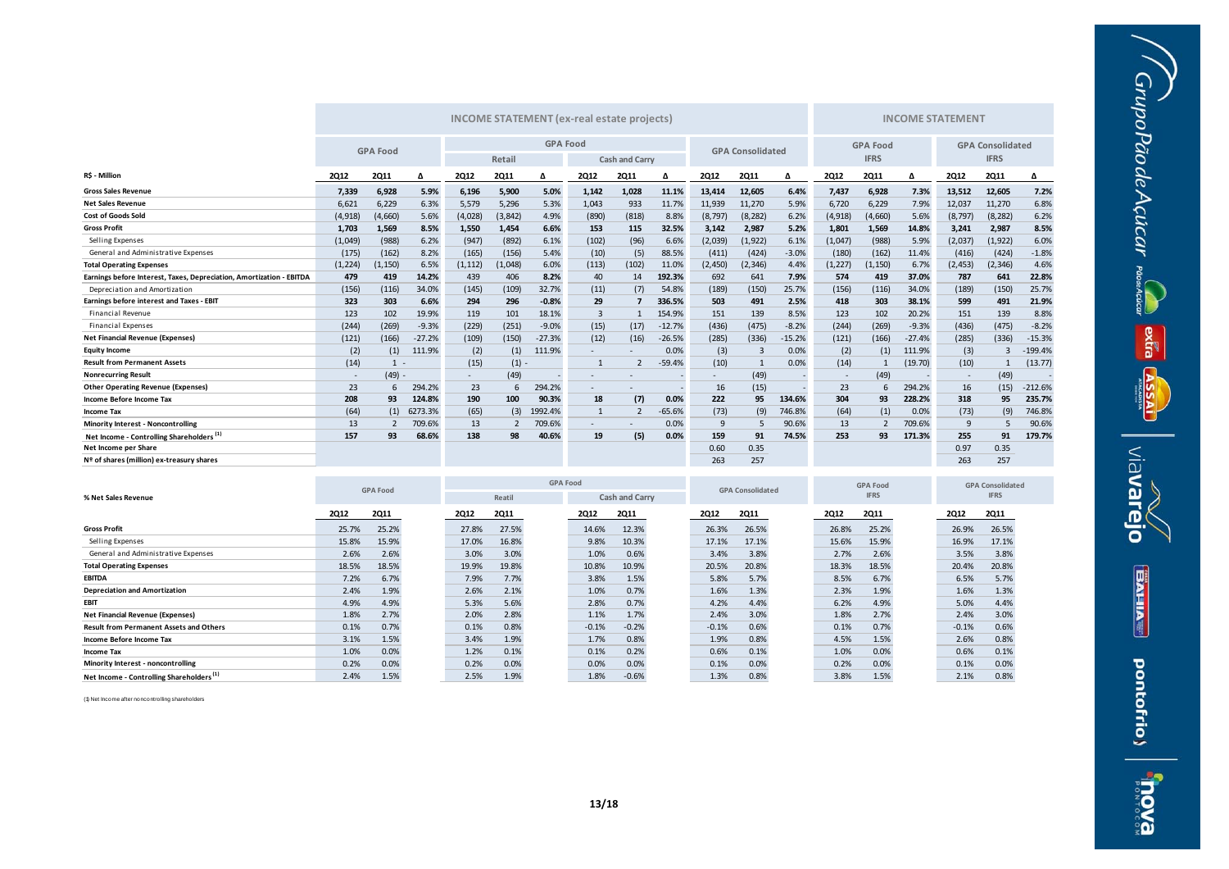|                                                                      | <b>INCOME STATEMENT (ex-real estate projects)</b> |                 |          |                          |             |                 |                          |                              |                         |             | <b>INCOME STATEMENT</b> |             |                 |             |             |                          |              |           |
|----------------------------------------------------------------------|---------------------------------------------------|-----------------|----------|--------------------------|-------------|-----------------|--------------------------|------------------------------|-------------------------|-------------|-------------------------|-------------|-----------------|-------------|-------------|--------------------------|--------------|-----------|
|                                                                      |                                                   | <b>GPA Food</b> |          |                          |             | <b>GPA Food</b> |                          |                              |                         |             |                         |             | <b>GPA Food</b> |             |             | <b>GPA Consolidated</b>  |              |           |
|                                                                      |                                                   |                 |          |                          | Retail      |                 | <b>Cash and Carry</b>    |                              | <b>GPA Consolidated</b> |             |                         | <b>IFRS</b> |                 |             | <b>IFRS</b> |                          |              |           |
| R\$ - Million                                                        | <b>2Q12</b>                                       | <b>2Q11</b>     | Δ        | <b>2Q12</b>              | <b>2Q11</b> | Δ               | <b>2Q12</b>              | <b>2Q11</b>                  | Δ                       | <b>2Q12</b> | <b>2Q11</b>             | Δ           | <b>2Q12</b>     | <b>2Q11</b> | Δ           | <b>2Q12</b>              | <b>2Q11</b>  | Δ         |
| <b>Gross Sales Revenue</b>                                           | 7.339                                             | 6.928           | 5.9%     | 6,196                    | 5,900       | 5.0%            | 1.142                    | 1,028                        | 11.1%                   | 13,414      | 12.605                  | 6.4%        | 7,437           | 6.928       | 7.3%        | 13,512                   | 12,605       | 7.2%      |
| <b>Net Sales Revenue</b>                                             | 6,621                                             | 6,229           | 6.3%     | 5,579                    | 5,296       | 5.3%            | 1.043                    | 933                          | 11.7%                   | 11,939      | 11,270                  | 5.9%        | 6,720           | 6.229       | 7.9%        | 12,037                   | 11,270       | 6.8%      |
| <b>Cost of Goods Sold</b>                                            | (4,918)                                           | (4,660)         | 5.6%     | (4,028)                  | (3, 842)    | 4.9%            | (890)                    | (818)                        | 8.8%                    | (8, 797)    | (8, 282)                | 6.2%        | (4, 918)        | (4,660)     | 5.6%        | (8, 797)                 | (8, 282)     | 6.2%      |
| <b>Gross Profit</b>                                                  | 1,703                                             | 1,569           | 8.5%     | 1,550                    | 1,454       | 6.6%            | 153                      | 115                          | 32.5%                   | 3,142       | 2,987                   | 5.2%        | 1,801           | 1.569       | 14.8%       | 3,241                    | 2,987        | 8.5%      |
| Selling Expenses                                                     | (1,049)                                           | (988)           | 6.2%     | (947)                    | (892)       | 6.1%            | (102)                    | (96)                         | 6.6%                    | (2,039)     | (1, 922)                | 6.1%        | (1,047)         | (988)       | 5.9%        | (2,037)                  | (1, 922)     | 6.0%      |
| General and Administrative Expenses                                  | (175)                                             | (162)           | 8.2%     | (165)                    | (156)       | 5.4%            | (10)                     | (5)                          | 88.5%                   | (411)       | (424)                   | $-3.0%$     | (180)           | (162)       | 11.4%       | (416)                    | (424)        | $-1.8%$   |
| <b>Total Operating Expenses</b>                                      | (1, 224)                                          | (1, 150)        | 6.5%     | (1, 112)                 | (1,048)     | 6.0%            | (113)                    | (102)                        | 11.0%                   | (2,450)     | (2, 346)                | 4.4%        | (1, 227)        | (1, 150)    | 6.7%        | (2, 453)                 | (2, 346)     | 4.6%      |
| Earnings before Interest, Taxes, Depreciation, Amortization - EBITDA | 479                                               | 419             | 14.2%    | 439                      | 406         | 8.2%            | 40                       | 14                           | 192.3%                  | 692         | 641                     | 7.9%        | 574             | 419         | 37.0%       | 787                      | 641          | 22.8%     |
| Depreciation and Amortization                                        | (156)                                             | (116)           | 34.0%    | (145)                    | (109)       | 32.7%           | (11)                     | (7)                          | 54.8%                   | (189)       | (150)                   | 25.7%       | (156)           | (116)       | 34.0%       | (189)                    | (150)        | 25.7%     |
| Earnings before interest and Taxes - EBIT                            | 323                                               | 303             | 6.6%     | 294                      | 296         | $-0.8%$         | 29                       |                              | 336.5%                  | 503         | 491                     | 2.5%        | 418             | 303         | 38.1%       | 599                      | 491          | 21.9%     |
| <b>Financial Revenue</b>                                             | 123                                               | 102             | 19.9%    | 119                      | 101         | 18.1%           | $\overline{3}$           | -1                           | 154.9%                  | 151         | 139                     | 8.5%        | 123             | 102         | 20.2%       | 151                      | 139          | 8.8%      |
| <b>Financial Expenses</b>                                            | (244)                                             | (269)           | $-9.3%$  | (229)                    | (251)       | $-9.0%$         | (15)                     | (17)                         | $-12.7%$                | (436)       | (475)                   | $-8.2%$     | (244)           | (269)       | $-9.3%$     | (436)                    | (475)        | $-8.2%$   |
| <b>Net Financial Revenue (Expenses)</b>                              | (121)                                             | (166)           | $-27.2%$ | (109)                    | (150)       | $-27.3%$        | (12)                     | (16)                         | $-26.5%$                | (285)       | (336)                   | $-15.2%$    | (121)           | (166)       | $-27.4%$    | (285)                    | (336)        | $-15.3%$  |
| <b>Equity Income</b>                                                 | (2)                                               | (1)             | 111.9%   | (2)                      | (1)         | 111.9%          | $\overline{\phantom{a}}$ | $\qquad \qquad \blacksquare$ | 0.0%                    | (3)         | $\overline{3}$          | 0.0%        | (2)             | (1)         | 111.9%      | (3)                      | $\mathbf{3}$ | $-199.4%$ |
| <b>Result from Permanent Assets</b>                                  | (14)                                              | $1 -$           |          | (15)                     | (1)         |                 | $\overline{1}$           |                              | $-59.4%$                | (10)        | $\mathbf{1}$            | 0.0%        | (14)            |             | (19.70)     | (10)                     |              | (13.77)   |
| <b>Nonrecurring Result</b>                                           |                                                   | $(49) -$        |          | $\overline{\phantom{a}}$ | (49)        |                 | $\overline{\phantom{a}}$ |                              |                         |             | (49)                    |             |                 | (49)        |             | $\overline{\phantom{a}}$ | (49)         |           |
| <b>Other Operating Revenue (Expenses)</b>                            | 23                                                | 6               | 294.2%   | 23                       | 6           | 294.2%          |                          |                              |                         | 16          | (15)                    |             | 23              | 6           | 294.2%      | 16                       | (15)         | $-212.6%$ |
| Income Before Income Tax                                             | 208                                               | 93              | 124.8%   | 190                      | 100         | 90.3%           | 18                       | (7)                          | 0.0%                    | 222         | 95                      | 134.6%      | 304             | 93          | 228.2%      | 318                      | 95           | 235.7%    |
| <b>Income Tax</b>                                                    | (64)                                              | (1)             | 6273.3%  | (65)                     | (3)         | 1992.4%         | -1                       |                              | $-65.6%$                | (73)        | (9)                     | 746.8%      | (64)            | (1)         | 0.0%        | (73)                     | (9)          | 746.8%    |
| <b>Minority Interest - Noncontrolling</b>                            | 13                                                |                 | 709.6%   | 13                       |             | 709.6%          | $\overline{\phantom{a}}$ | ۰                            | 0.0%                    | 9           | 5                       | 90.6%       | 13              |             | 709.6%      | 9                        |              | 90.6%     |
| Net Income - Controlling Shareholders <sup>(1)</sup>                 | 157                                               | 93              | 68.6%    | 138                      | 98          | 40.6%           | 19                       | (5)                          | 0.0%                    | 159         | 91                      | 74.5%       | 253             | 93          | 171.3%      | 255                      | 91           | 179.7%    |
| Net Income per Share                                                 |                                                   |                 |          |                          |             |                 |                          |                              |                         | 0.60        | 0.35                    |             |                 |             |             | 0.97                     | 0.35         |           |
| Nº of shares (million) ex-treasury shares                            |                                                   |                 |          |                          |             |                 |                          |                              |                         | 263         | 257                     |             |                 |             |             | 263                      | 257          |           |

 $G\nu\nu$ poPãode Açúcar exercico

extra ASSAI

**Mavarejo** 

**BAHIAT** 

pontofrio)

exoup

|                                                      |             | <b>GPA Food</b> |  | <b>GPA Food</b> |             |  |             |                | <b>GPA Consolidated</b> |             |             | <b>GPA Food</b> |             | <b>GPA Consolidated</b> |             |             |
|------------------------------------------------------|-------------|-----------------|--|-----------------|-------------|--|-------------|----------------|-------------------------|-------------|-------------|-----------------|-------------|-------------------------|-------------|-------------|
| % Net Sales Revenue                                  |             |                 |  |                 | Reatil      |  |             | Cash and Carry |                         |             |             |                 | <b>IFRS</b> |                         |             | <b>IFRS</b> |
|                                                      | <b>2Q12</b> | <b>2Q11</b>     |  | <b>2Q12</b>     | <b>2Q11</b> |  | <b>2Q12</b> | <b>2Q11</b>    |                         | <b>2Q12</b> | <b>2Q11</b> | <b>2Q12</b>     | <b>2Q11</b> |                         | <b>2Q12</b> | <b>2Q11</b> |
| <b>Gross Profit</b>                                  | 25.7%       | 25.2%           |  | 27.8%           | 27.5%       |  | 14.6%       | 12.3%          |                         | 26.3%       | 26.5%       | 26.8%           | 25.2%       |                         | 26.9%       | 26.5%       |
| Selling Expenses                                     | 15.8%       | 15.9%           |  | 17.0%           | 16.8%       |  | 9.8%        | 10.3%          |                         | 17.1%       | 17.1%       | 15.6%           | 15.9%       |                         | 16.9%       | 17.1%       |
| General and Administrative Expenses                  | 2.6%        | 2.6%            |  | 3.0%            | 3.0%        |  | 1.0%        | 0.6%           |                         | 3.4%        | 3.8%        | 2.7%            | 2.6%        |                         | 3.5%        | 3.8%        |
| <b>Total Operating Expenses</b>                      | 18.5%       | 18.5%           |  | 19.9%           | 19.8%       |  | 10.8%       | 10.9%          |                         | 20.5%       | 20.8%       | 18.3%           | 18.5%       |                         | 20.4%       | 20.8%       |
| <b>EBITDA</b>                                        | 7.2%        | 6.7%            |  | 7.9%            | 7.7%        |  | 3.8%        | 1.5%           |                         | 5.8%        | 5.7%        | 8.5%            | 6.7%        |                         | 6.5%        | 5.7%        |
| <b>Depreciation and Amortization</b>                 | 2.4%        | 1.9%            |  | 2.6%            | 2.1%        |  | 1.0%        | 0.7%           |                         | 1.6%        | 1.3%        | 2.3%            | 1.9%        |                         | 1.6%        | 1.3%        |
| EBIT                                                 | 4.9%        | 4.9%            |  | 5.3%            | 5.6%        |  | 2.8%        | 0.7%           |                         | 4.2%        | 4.4%        | 6.2%            | 4.9%        |                         | 5.0%        | 4.4%        |
| Net Financial Revenue (Expenses)                     | 1.8%        | 2.7%            |  | 2.0%            | 2.8%        |  | 1.1%        | 1.7%           |                         | 2.4%        | 3.0%        | 1.8%            | 2.7%        |                         | 2.4%        | 3.0%        |
| <b>Result from Permanent Assets and Others</b>       | 0.1%        | 0.7%            |  | 0.1%            | 0.8%        |  | $-0.1%$     | $-0.2%$        |                         | $-0.1%$     | 0.6%        | 0.1%            | 0.7%        |                         | $-0.1%$     | 0.6%        |
| Income Before Income Tax                             | 3.1%        | 1.5%            |  | 3.4%            | 1.9%        |  | 1.7%        | 0.8%           |                         | 1.9%        | 0.8%        | 4.5%            | 1.5%        |                         | 2.6%        | 0.8%        |
| Income Tax                                           | 1.0%        | 0.0%            |  | 1.2%            | 0.1%        |  | 0.1%        | 0.2%           |                         | 0.6%        | 0.1%        | 1.0%            | 0.0%        |                         | 0.6%        | 0.1%        |
| Minority Interest - noncontrolling                   | 0.2%        | 0.0%            |  | 0.2%            | 0.0%        |  | 0.0%        | 0.0%           |                         | 0.1%        | 0.0%        | 0.2%            | 0.0%        |                         | 0.1%        | 0.0%        |
| Net Income - Controlling Shareholders <sup>(1)</sup> | 2.4%        | 1.5%            |  | 2.5%            | 1.9%        |  | 1.8%        | $-0.6%$        |                         | 1.3%        | 0.8%        | 3.8%            | 1.5%        |                         | 2.1%        | 0.8%        |

(1) Net Income after noncontrolling shareholders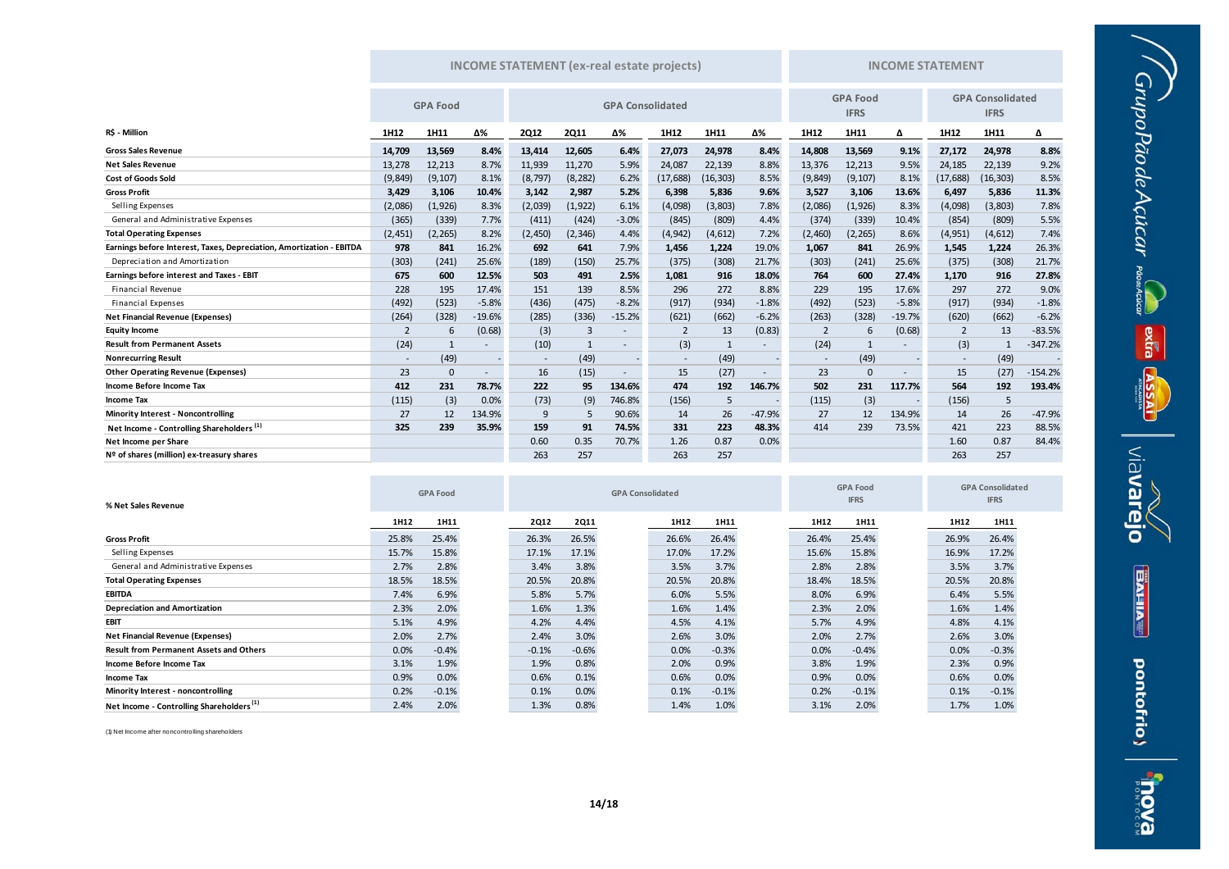|                                                                      | <b>INCOME STATEMENT</b> (ex-real estate projects) |                 |          |                          |             |                          |           |                                |          | <b>INCOME STATEMENT</b> |                                        |          |                          |           |           |
|----------------------------------------------------------------------|---------------------------------------------------|-----------------|----------|--------------------------|-------------|--------------------------|-----------|--------------------------------|----------|-------------------------|----------------------------------------|----------|--------------------------|-----------|-----------|
|                                                                      |                                                   | <b>GPA Food</b> |          | <b>GPA Consolidated</b>  |             |                          |           | <b>GPA Food</b><br><b>IFRS</b> |          |                         | <b>GPA Consolidated</b><br><b>IFRS</b> |          |                          |           |           |
| R\$ - Million                                                        | 1H12                                              | 1H11            | Δ%       | <b>2Q12</b>              | <b>2Q11</b> | Δ%                       | 1H12      | 1H11                           | Δ%       | 1H12                    | 1H11                                   | Δ        | 1H12                     | 1H11      | Δ         |
| <b>Gross Sales Revenue</b>                                           | 14,709                                            | 13,569          | 8.4%     | 13,414                   | 12,605      | 6.4%                     | 27,073    | 24,978                         | 8.4%     | 14,808                  | 13,569                                 | 9.1%     | 27,172                   | 24,978    | 8.8%      |
| <b>Net Sales Revenue</b>                                             | 13,278                                            | 12,213          | 8.7%     | 11,939                   | 11,270      | 5.9%                     | 24,087    | 22,139                         | 8.8%     | 13,376                  | 12,213                                 | 9.5%     | 24,185                   | 22,139    | 9.2%      |
| <b>Cost of Goods Sold</b>                                            | (9, 849)                                          | (9, 107)        | 8.1%     | (8, 797)                 | (8, 282)    | 6.2%                     | (17, 688) | (16, 303)                      | 8.5%     | (9,849)                 | (9, 107)                               | 8.1%     | (17, 688)                | (16, 303) | 8.5%      |
| <b>Gross Profit</b>                                                  | 3,429                                             | 3,106           | 10.4%    | 3.142                    | 2,987       | 5.2%                     | 6,398     | 5,836                          | 9.6%     | 3,527                   | 3,106                                  | 13.6%    | 6,497                    | 5,836     | 11.3%     |
| Selling Expenses                                                     | (2,086)                                           | (1, 926)        | 8.3%     | (2,039)                  | (1, 922)    | 6.1%                     | (4,098)   | (3,803)                        | 7.8%     | (2,086)                 | (1,926)                                | 8.3%     | (4,098)                  | (3,803)   | 7.8%      |
| General and Administrative Expenses                                  | (365)                                             | (339)           | 7.7%     | (411)                    | (424)       | $-3.0%$                  | (845)     | (809)                          | 4.4%     | (374)                   | (339)                                  | 10.4%    | (854)                    | (809)     | 5.5%      |
| <b>Total Operating Expenses</b>                                      | (2, 451)                                          | (2, 265)        | 8.2%     | (2,450)                  | (2, 346)    | 4.4%                     | (4, 942)  | (4,612)                        | 7.2%     | (2,460)                 | (2, 265)                               | 8.6%     | (4, 951)                 | (4,612)   | 7.4%      |
| Earnings before Interest, Taxes, Depreciation, Amortization - EBITDA | 978                                               | 841             | 16.2%    | 692                      | 641         | 7.9%                     | 1,456     | 1,224                          | 19.0%    | 1,067                   | 841                                    | 26.9%    | 1,545                    | 1,224     | 26.3%     |
| Depreciation and Amortization                                        | (303)                                             | (241)           | 25.6%    | (189)                    | (150)       | 25.7%                    | (375)     | (308)                          | 21.7%    | (303)                   | (241)                                  | 25.6%    | (375)                    | (308)     | 21.7%     |
| Earnings before interest and Taxes - EBIT                            | 675                                               | 600             | 12.5%    | 503                      | 491         | 2.5%                     | 1,081     | 916                            | 18.0%    | 764                     | 600                                    | 27.4%    | 1,170                    | 916       | 27.8%     |
| <b>Financial Revenue</b>                                             | 228                                               | 195             | 17.4%    | 151                      | 139         | 8.5%                     | 296       | 272                            | 8.8%     | 229                     | 195                                    | 17.6%    | 297                      | 272       | 9.0%      |
| <b>Financial Expenses</b>                                            | (492)                                             | (523)           | $-5.8%$  | (436)                    | (475)       | $-8.2%$                  | (917)     | (934)                          | $-1.8%$  | (492)                   | (523)                                  | $-5.8%$  | (917)                    | (934)     | $-1.8%$   |
| <b>Net Financial Revenue (Expenses)</b>                              | (264)                                             | (328)           | $-19.6%$ | (285)                    | (336)       | $-15.2%$                 | (621)     | (662)                          | $-6.2%$  | (263)                   | (328)                                  | $-19.7%$ | (620)                    | (662)     | $-6.2%$   |
| <b>Equity Income</b>                                                 | $\overline{2}$                                    | 6               | (0.68)   | (3)                      | 3           | $\overline{\phantom{a}}$ |           | 13                             | (0.83)   | $\overline{2}$          | 6                                      | (0.68)   | $\overline{2}$           | 13        | $-83.5%$  |
| <b>Result from Permanent Assets</b>                                  | (24)                                              |                 |          | (10)                     |             | $\overline{\phantom{a}}$ | (3)       | $\mathbf{1}$                   |          | (24)                    | $\mathbf{1}$                           |          | (3)                      |           | $-347.2%$ |
| <b>Nonrecurring Result</b>                                           |                                                   | (49)            |          | $\overline{\phantom{a}}$ | (49)        |                          |           | (49)                           |          |                         | (49)                                   |          | $\overline{\phantom{a}}$ | (49)      |           |
| <b>Other Operating Revenue (Expenses)</b>                            | 23                                                | $\Omega$        |          | 16                       | (15)        |                          | 15        | (27)                           |          | 23                      | $\mathbf{0}$                           |          | 15                       | (27)      | $-154.2%$ |
| Income Before Income Tax                                             | 412                                               | 231             | 78.7%    | 222                      | 95          | 134.6%                   | 474       | 192                            | 146.7%   | 502                     | 231                                    | 117.7%   | 564                      | 192       | 193.4%    |
| <b>Income Tax</b>                                                    | (115)                                             | (3)             | 0.0%     | (73)                     | (9)         | 746.8%                   | (156)     | 5                              |          | (115)                   | (3)                                    |          | (156)                    | 5         |           |
| <b>Minority Interest - Noncontrolling</b>                            | 27                                                | 12              | 134.9%   | g                        | 5           | 90.6%                    | 14        | 26                             | $-47.9%$ | 27                      | 12                                     | 134.9%   | 14                       | 26        | $-47.9%$  |
| Net Income - Controlling Shareholders <sup>(1)</sup>                 | 325                                               | 239             | 35.9%    | 159                      | 91          | 74.5%                    | 331       | 223                            | 48.3%    | 414                     | 239                                    | 73.5%    | 421                      | 223       | 88.5%     |
| Net Income per Share                                                 |                                                   |                 |          | 0.60                     | 0.35        | 70.7%                    | 1.26      | 0.87                           | 0.0%     |                         |                                        |          | 1.60                     | 0.87      | 84.4%     |
| Nº of shares (million) ex-treasury shares                            |                                                   |                 |          | 263                      | 257         |                          | 263       | 257                            |          |                         |                                        |          | 263                      | 257       |           |

 $G\nu\nu$ poPãode $A$ çúcar  $_{\tiny{\text{measured}}}$ 

extra **ASS** 

 $\frac{1}{\sqrt{2}}$ 

**BAHIAT** 

pontofrio)

| % Net Sales Revenue                                  |       | <b>GPA Food</b> |  |             | <b>GPA Consolidated</b> |  |       |         |  |       |         | <b>GPA Food</b><br><b>IFRS</b> |       |         |
|------------------------------------------------------|-------|-----------------|--|-------------|-------------------------|--|-------|---------|--|-------|---------|--------------------------------|-------|---------|
|                                                      | 1H12  | 1H11            |  | <b>2Q12</b> | <b>2Q11</b>             |  | 1H12  | 1H11    |  | 1H12  | 1H11    |                                | 1H12  | 1H11    |
| <b>Gross Profit</b>                                  | 25.8% | 25.4%           |  | 26.3%       | 26.5%                   |  | 26.6% | 26.4%   |  | 26.4% | 25.4%   |                                | 26.9% | 26.4%   |
| Selling Expenses                                     | 15.7% | 15.8%           |  | 17.1%       | 17.1%                   |  | 17.0% | 17.2%   |  | 15.6% | 15.8%   |                                | 16.9% | 17.2%   |
| General and Administrative Expenses                  | 2.7%  | 2.8%            |  | 3.4%        | 3.8%                    |  | 3.5%  | 3.7%    |  | 2.8%  | 2.8%    |                                | 3.5%  | 3.7%    |
| <b>Total Operating Expenses</b>                      | 18.5% | 18.5%           |  | 20.5%       | 20.8%                   |  | 20.5% | 20.8%   |  | 18.4% | 18.5%   |                                | 20.5% | 20.8%   |
| <b>EBITDA</b>                                        | 7.4%  | 6.9%            |  | 5.8%        | 5.7%                    |  | 6.0%  | 5.5%    |  | 8.0%  | 6.9%    |                                | 6.4%  | 5.5%    |
| <b>Depreciation and Amortization</b>                 | 2.3%  | 2.0%            |  | 1.6%        | 1.3%                    |  | 1.6%  | 1.4%    |  | 2.3%  | 2.0%    |                                | 1.6%  | 1.4%    |
| <b>EBIT</b>                                          | 5.1%  | 4.9%            |  | 4.2%        | 4.4%                    |  | 4.5%  | 4.1%    |  | 5.7%  | 4.9%    |                                | 4.8%  | 4.1%    |
| <b>Net Financial Revenue (Expenses)</b>              | 2.0%  | 2.7%            |  | 2.4%        | 3.0%                    |  | 2.6%  | 3.0%    |  | 2.0%  | 2.7%    |                                | 2.6%  | 3.0%    |
| <b>Result from Permanent Assets and Others</b>       | 0.0%  | $-0.4%$         |  | $-0.1%$     | $-0.6%$                 |  | 0.0%  | $-0.3%$ |  | 0.0%  | $-0.4%$ |                                | 0.0%  | $-0.3%$ |
| Income Before Income Tax                             | 3.1%  | 1.9%            |  | 1.9%        | 0.8%                    |  | 2.0%  | 0.9%    |  | 3.8%  | 1.9%    |                                | 2.3%  | 0.9%    |
| <b>Income Tax</b>                                    | 0.9%  | 0.0%            |  | 0.6%        | 0.1%                    |  | 0.6%  | 0.0%    |  | 0.9%  | 0.0%    |                                | 0.6%  | 0.0%    |
| Minority Interest - noncontrolling                   | 0.2%  | $-0.1%$         |  | 0.1%        | 0.0%                    |  | 0.1%  | $-0.1%$ |  | 0.2%  | $-0.1%$ |                                | 0.1%  | $-0.1%$ |
| Net Income - Controlling Shareholders <sup>(1)</sup> | 2.4%  | 2.0%            |  | 1.3%        | 0.8%                    |  | 1.4%  | 1.0%    |  | 3.1%  | 2.0%    |                                | 1.7%  | 1.0%    |

**COL** 

(1) Net Income after noncontrolling shareholders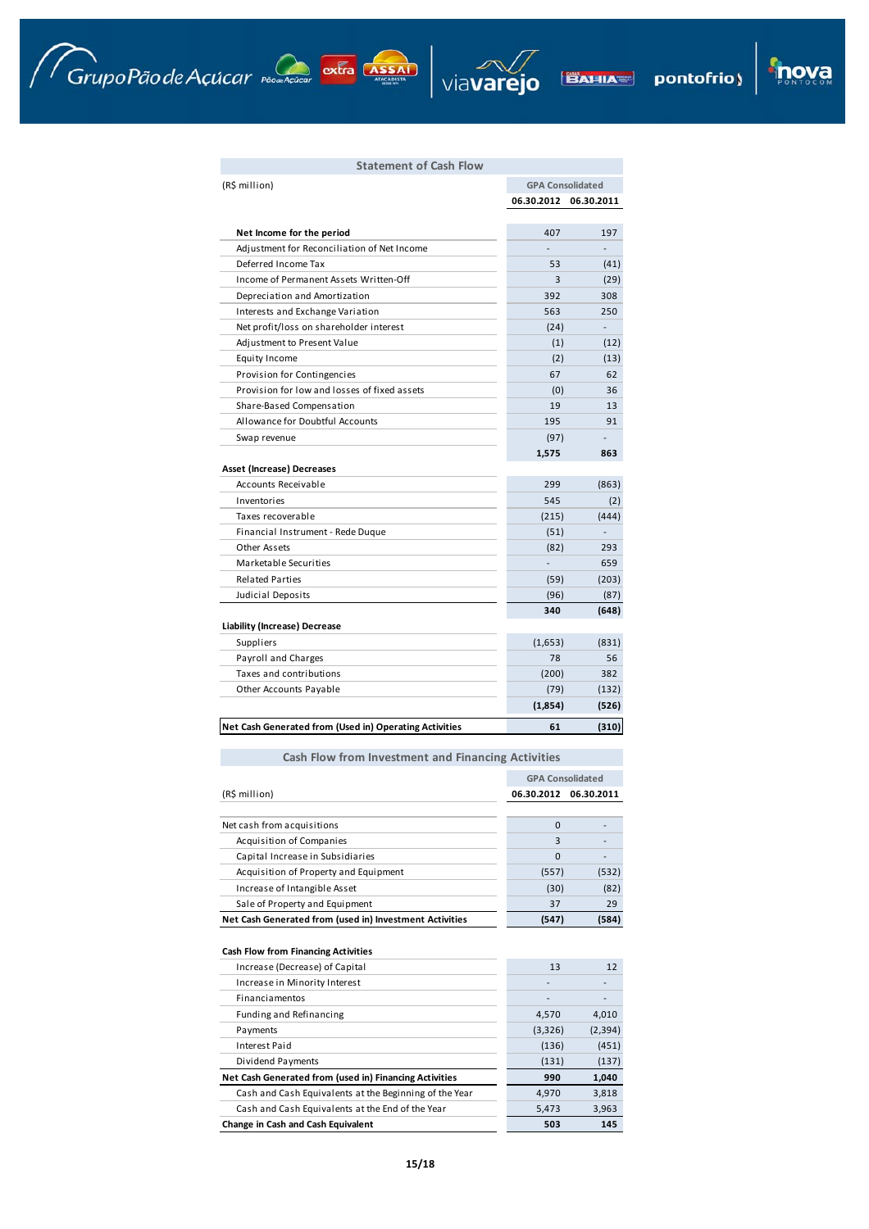Grupo Pão de Açúcar reconnecidar extra Assam





pontofrio) **BAHIA** 

# **Statement of Cash Flow**

| (R\$ million)                                          | <b>GPA Consolidated</b> |            |  |  |
|--------------------------------------------------------|-------------------------|------------|--|--|
|                                                        | 06.30.2012              | 06.30.2011 |  |  |
|                                                        |                         |            |  |  |
| Net Income for the period                              | 407                     | 197        |  |  |
| Adjustment for Reconciliation of Net Income            |                         |            |  |  |
| Deferred Income Tax                                    | 53                      | (41)       |  |  |
| Income of Permanent Assets Written-Off                 | 3                       | (29)       |  |  |
| Depreciation and Amortization                          | 392                     | 308        |  |  |
| Interests and Exchange Variation                       | 563                     | 250        |  |  |
| Net profit/loss on shareholder interest                | (24)                    |            |  |  |
| Adjustment to Present Value                            | (1)                     | (12)       |  |  |
| <b>Equity Income</b>                                   | (2)                     | (13)       |  |  |
| Provision for Contingencies                            | 67                      | 62         |  |  |
| Provision for low and losses of fixed assets           | (0)                     | 36         |  |  |
| Share-Based Compensation                               | 19                      | 13         |  |  |
| Allowance for Doubtful Accounts                        | 195                     | 91         |  |  |
| Swap revenue                                           | (97)                    |            |  |  |
|                                                        | 1,575                   | 863        |  |  |
| Asset (Increase) Decreases                             |                         |            |  |  |
| Accounts Receivable                                    | 299                     | (863)      |  |  |
| Inventories                                            | 545                     | (2)        |  |  |
| Taxes recoverable                                      | (215)                   | (444)      |  |  |
| Financial Instrument - Rede Duque                      | (51)                    |            |  |  |
| Other Assets                                           | (82)                    | 293        |  |  |
| Marketable Securities                                  |                         | 659        |  |  |
| <b>Related Parties</b>                                 | (59)                    | (203)      |  |  |
| Judicial Deposits                                      | (96)                    | (87)       |  |  |
|                                                        | 340                     | (648)      |  |  |
| <b>Liability (Increase) Decrease</b>                   |                         |            |  |  |
| Suppliers                                              | (1,653)                 | (831)      |  |  |
| Payroll and Charges                                    | 78                      | 56         |  |  |
| Taxes and contributions                                | (200)                   | 382        |  |  |
| Other Accounts Payable                                 | (79)                    | (132)      |  |  |
|                                                        | (1,854)                 | (526)      |  |  |
| Net Cash Generated from (Used in) Operating Activities | 61                      | (310)      |  |  |

# **Cash Flow from Investment and Financing Activities**

|                                                         | <b>GPA Consolidated</b> |            |
|---------------------------------------------------------|-------------------------|------------|
| (R\$ million)                                           | 06.30.2012              | 06.30.2011 |
|                                                         |                         |            |
| Net cash from acquisitions                              | $\Omega$                |            |
| Acquisition of Companies                                | 3                       |            |
| Capital Increase in Subsidiaries                        | $\Omega$                |            |
| Acquisition of Property and Equipment                   | (557)                   | (532)      |
| Increase of Intangible Asset                            | (30)                    | (82)       |
| Sale of Property and Equipment                          | 37                      | 29         |
| Net Cash Generated from (used in) Investment Activities | (547)                   | (584)      |
|                                                         |                         |            |
| <b>Cash Flow from Financing Activities</b>              |                         |            |
| Increase (Decrease) of Capital                          | 13                      | 12         |
| Increase in Minority Interest                           |                         |            |
| Financiamentos                                          |                         |            |
| Funding and Refinancing                                 | 4,570                   | 4,010      |
| Payments                                                | (3,326)                 | (2, 394)   |
| Interest Paid                                           | (136)                   | (451)      |

| <b>Change in Cash and Cash Equivalent</b>              | 503   | 145   |
|--------------------------------------------------------|-------|-------|
| Cash and Cash Equivalents at the End of the Year       | 5.473 | 3,963 |
| Cash and Cash Equivalents at the Beginning of the Year | 4.970 | 3.818 |
| Net Cash Generated from (used in) Financing Activities | 990   | 1.040 |
| Dividend Payments                                      | (131) | (137) |
| Interest Paid                                          | (136) | (451) |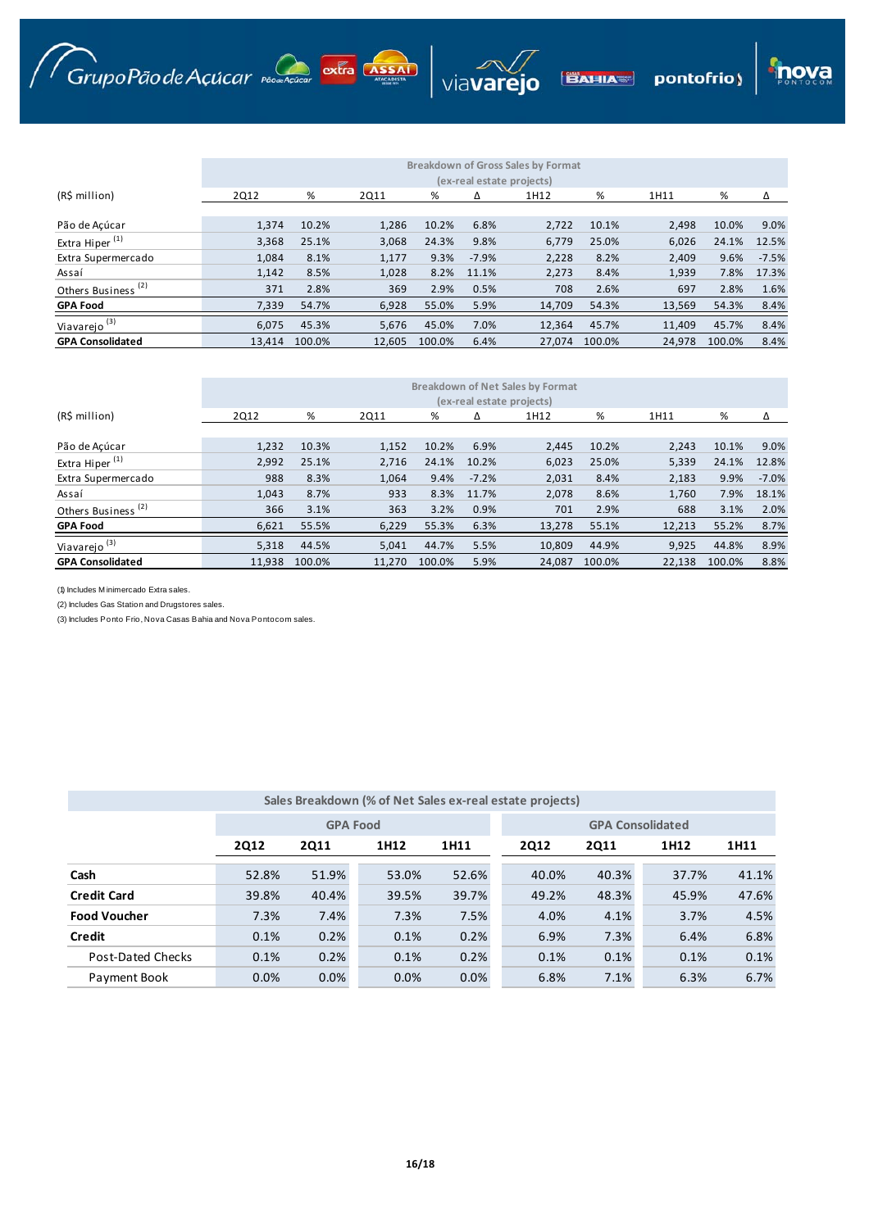Grupo Pão de Açúcar production extra ASSAI



viavarejo

**BAHIA** 

pontofrio)

lova

|                                | <b>Breakdown of Net Sales by Format</b><br>(ex-real estate projects) |        |        |        |         |        |        |        |        |         |  |  |
|--------------------------------|----------------------------------------------------------------------|--------|--------|--------|---------|--------|--------|--------|--------|---------|--|--|
| (R\$ million)                  | 2Q12                                                                 | %      | 2Q11   | %      | Δ       | 1H12   | %      | 1H11   | %      | Δ       |  |  |
| Pão de Acúcar                  | 1,232                                                                | 10.3%  | 1,152  | 10.2%  | 6.9%    | 2,445  | 10.2%  | 2,243  | 10.1%  | 9.0%    |  |  |
| Extra Hiper <sup>(1)</sup>     | 2,992                                                                | 25.1%  | 2.716  | 24.1%  | 10.2%   | 6,023  | 25.0%  | 5,339  | 24.1%  | 12.8%   |  |  |
| Extra Supermercado             | 988                                                                  | 8.3%   | 1,064  | 9.4%   | $-7.2%$ | 2,031  | 8.4%   | 2,183  | 9.9%   | $-7.0%$ |  |  |
| Assaí                          | 1,043                                                                | 8.7%   | 933    | 8.3%   | 11.7%   | 2,078  | 8.6%   | 1,760  | 7.9%   | 18.1%   |  |  |
| Others Business <sup>(2)</sup> | 366                                                                  | 3.1%   | 363    | 3.2%   | 0.9%    | 701    | 2.9%   | 688    | 3.1%   | 2.0%    |  |  |
| <b>GPA Food</b>                | 6,621                                                                | 55.5%  | 6,229  | 55.3%  | 6.3%    | 13,278 | 55.1%  | 12,213 | 55.2%  | 8.7%    |  |  |
| Viavarejo <sup>(3)</sup>       | 5,318                                                                | 44.5%  | 5.041  | 44.7%  | 5.5%    | 10.809 | 44.9%  | 9,925  | 44.8%  | 8.9%    |  |  |
| <b>GPA Consolidated</b>        | 11.938                                                               | 100.0% | 11.270 | 100.0% | 5.9%    | 24.087 | 100.0% | 22.138 | 100.0% | 8.8%    |  |  |

(1) Includes M inimercado Extra sales.

(2) Includes Gas Station and Drugstores sales.

(3) Includes Ponto Frio, Nova Casas Bahia and Nova Pontocom sales.

|                     |             |                 |       |       | Sales Breakdown (% of Net Sales ex-real estate projects) |             |       |       |  |  |  |
|---------------------|-------------|-----------------|-------|-------|----------------------------------------------------------|-------------|-------|-------|--|--|--|
|                     |             |                 |       |       |                                                          |             |       |       |  |  |  |
|                     |             | <b>GPA Food</b> |       |       | <b>GPA Consolidated</b>                                  |             |       |       |  |  |  |
|                     | <b>2Q12</b> | <b>2Q11</b>     | 1H12  | 1H11  | <b>2Q12</b>                                              | <b>2Q11</b> | 1H12  | 1H11  |  |  |  |
| Cash                | 52.8%       | 51.9%           | 53.0% | 52.6% | 40.0%                                                    | 40.3%       | 37.7% | 41.1% |  |  |  |
| <b>Credit Card</b>  | 39.8%       | 40.4%           | 39.5% | 39.7% | 49.2%                                                    | 48.3%       | 45.9% | 47.6% |  |  |  |
| <b>Food Voucher</b> | 7.3%        | 7.4%            | 7.3%  | 7.5%  | 4.0%                                                     | 4.1%        | 3.7%  | 4.5%  |  |  |  |
| Credit              | 0.1%        | 0.2%            | 0.1%  | 0.2%  | 6.9%                                                     | 7.3%        | 6.4%  | 6.8%  |  |  |  |
| Post-Dated Checks   | 0.1%        | 0.2%            | 0.1%  | 0.2%  | 0.1%                                                     | 0.1%        | 0.1%  | 0.1%  |  |  |  |
| Payment Book        | 0.0%        | 0.0%            | 0.0%  | 0.0%  | 6.8%                                                     | 7.1%        | 6.3%  | 6.7%  |  |  |  |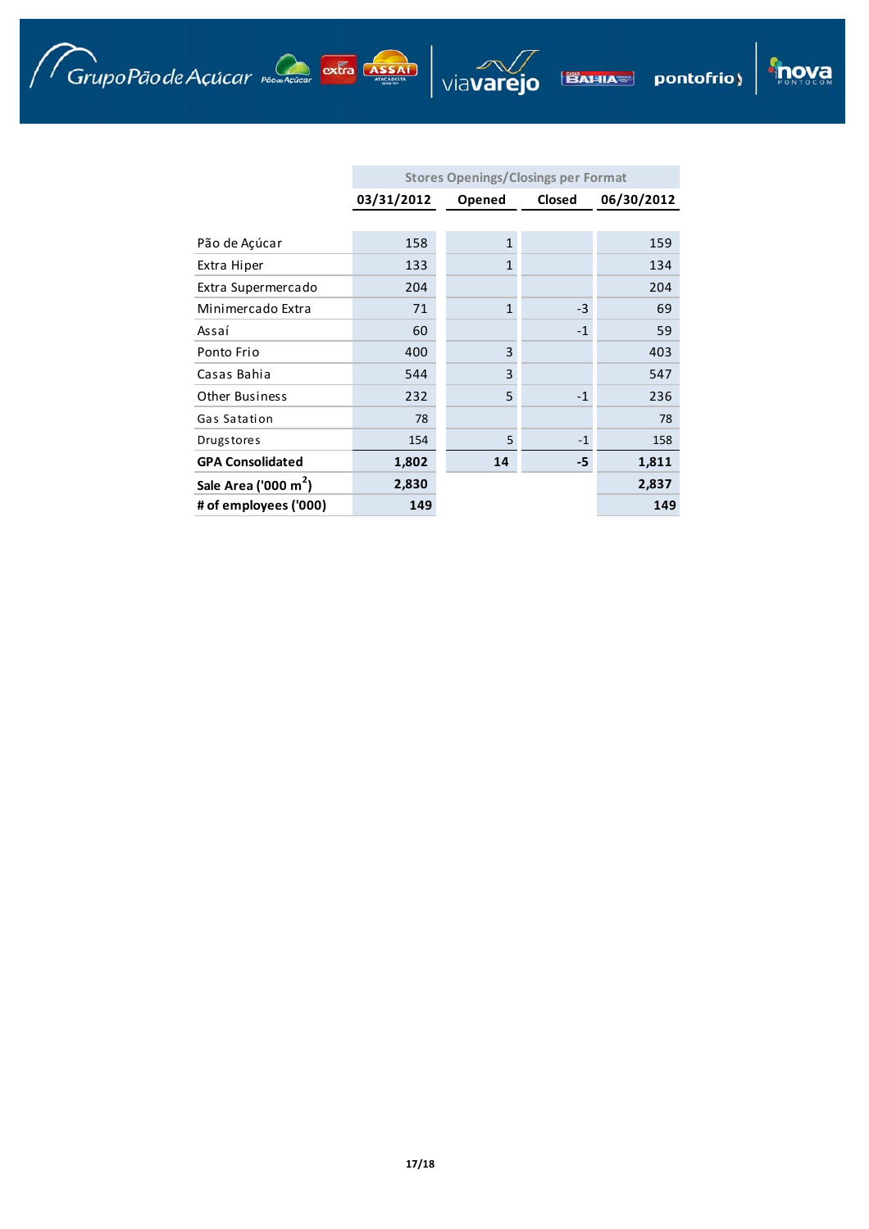Grupo Pão de Açúcar provenciare extra Assan Viavarejo BAHIA pontofrio)

|                                  | <b>Stores Openings/Closings per Format</b> |                |        |            |  |  |  |  |  |  |  |
|----------------------------------|--------------------------------------------|----------------|--------|------------|--|--|--|--|--|--|--|
|                                  | 03/31/2012                                 | Opened         | Closed | 06/30/2012 |  |  |  |  |  |  |  |
|                                  |                                            |                |        |            |  |  |  |  |  |  |  |
| Pão de Açúcar                    | 158                                        | $\mathbf{1}$   |        | 159        |  |  |  |  |  |  |  |
| Extra Hiper                      | 133                                        | $\overline{1}$ |        | 134        |  |  |  |  |  |  |  |
| Extra Supermercado               | 204                                        |                |        | 204        |  |  |  |  |  |  |  |
| Minimercado Extra                | 71                                         | $\mathbf{1}$   | $-3$   | 69         |  |  |  |  |  |  |  |
| Assaí                            | 60                                         |                | $-1$   | 59         |  |  |  |  |  |  |  |
| Ponto Frio                       | 400                                        | 3              |        | 403        |  |  |  |  |  |  |  |
| Casas Bahia                      | 544                                        | 3              |        | 547        |  |  |  |  |  |  |  |
| <b>Other Business</b>            | 232                                        | 5              | $-1$   | 236        |  |  |  |  |  |  |  |
| Gas Satation                     | 78                                         |                |        | 78         |  |  |  |  |  |  |  |
| <b>Drugstores</b>                | 154                                        | 5              | $-1$   | 158        |  |  |  |  |  |  |  |
| <b>GPA Consolidated</b>          | 1,802                                      | 14             | -5     | 1,811      |  |  |  |  |  |  |  |
| Sale Area ('000 m <sup>2</sup> ) | 2,830                                      |                |        | 2,837      |  |  |  |  |  |  |  |
| # of employees ('000)            | 149                                        |                |        | 149        |  |  |  |  |  |  |  |

**inova**